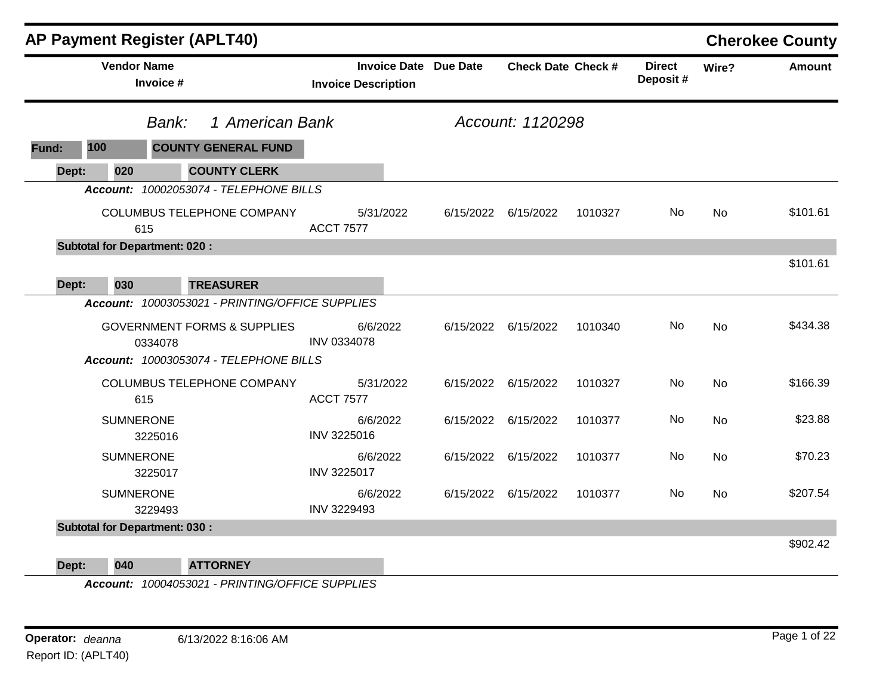|       |                                      |         | <b>AP Payment Register (APLT40)</b>             |                    |                                                            |           |                           |         |                           |           | <b>Cherokee County</b> |
|-------|--------------------------------------|---------|-------------------------------------------------|--------------------|------------------------------------------------------------|-----------|---------------------------|---------|---------------------------|-----------|------------------------|
|       | <b>Vendor Name</b><br>Invoice #      |         |                                                 |                    | <b>Invoice Date Due Date</b><br><b>Invoice Description</b> |           | <b>Check Date Check #</b> |         | <b>Direct</b><br>Deposit# | Wire?     | <b>Amount</b>          |
|       |                                      | Bank:   | 1 American Bank                                 |                    |                                                            |           | Account: 1120298          |         |                           |           |                        |
| Fund: | 100                                  |         | <b>COUNTY GENERAL FUND</b>                      |                    |                                                            |           |                           |         |                           |           |                        |
| Dept: | 020                                  |         | <b>COUNTY CLERK</b>                             |                    |                                                            |           |                           |         |                           |           |                        |
|       |                                      |         | Account: 10002053074 - TELEPHONE BILLS          |                    |                                                            |           |                           |         |                           |           |                        |
|       |                                      | 615     | COLUMBUS TELEPHONE COMPANY                      | <b>ACCT 7577</b>   | 5/31/2022                                                  | 6/15/2022 | 6/15/2022                 | 1010327 | No                        | <b>No</b> | \$101.61               |
|       | <b>Subtotal for Department: 020:</b> |         |                                                 |                    |                                                            |           |                           |         |                           |           |                        |
|       |                                      |         |                                                 |                    |                                                            |           |                           |         |                           |           | \$101.61               |
| Dept: | 030                                  |         | <b>TREASURER</b>                                |                    |                                                            |           |                           |         |                           |           |                        |
|       |                                      |         | Account: 10003053021 - PRINTING/OFFICE SUPPLIES |                    |                                                            |           |                           |         |                           |           |                        |
|       |                                      | 0334078 | <b>GOVERNMENT FORMS &amp; SUPPLIES</b>          | <b>INV 0334078</b> | 6/6/2022                                                   |           | 6/15/2022 6/15/2022       | 1010340 | <b>No</b>                 | <b>No</b> | \$434.38               |
|       |                                      |         | Account: 10003053074 - TELEPHONE BILLS          |                    |                                                            |           |                           |         |                           |           |                        |
|       |                                      | 615     | <b>COLUMBUS TELEPHONE COMPANY</b>               | <b>ACCT 7577</b>   | 5/31/2022                                                  |           | 6/15/2022 6/15/2022       | 1010327 | No                        | <b>No</b> | \$166.39               |
|       | <b>SUMNERONE</b>                     | 3225016 |                                                 | INV 3225016        | 6/6/2022                                                   |           | 6/15/2022 6/15/2022       | 1010377 | No                        | <b>No</b> | \$23.88                |
|       | <b>SUMNERONE</b>                     | 3225017 |                                                 | <b>INV 3225017</b> | 6/6/2022                                                   |           | 6/15/2022 6/15/2022       | 1010377 | No                        | <b>No</b> | \$70.23                |
|       | <b>SUMNERONE</b>                     | 3229493 |                                                 | INV 3229493        | 6/6/2022                                                   |           | 6/15/2022 6/15/2022       | 1010377 | No                        | <b>No</b> | \$207.54               |
|       | <b>Subtotal for Department: 030:</b> |         |                                                 |                    |                                                            |           |                           |         |                           |           |                        |
|       |                                      |         |                                                 |                    |                                                            |           |                           |         |                           |           | \$902.42               |
| Dept: | 040                                  |         | <b>ATTORNEY</b>                                 |                    |                                                            |           |                           |         |                           |           |                        |

*Account: 10004053021 - PRINTING/OFFICE SUPPLIES*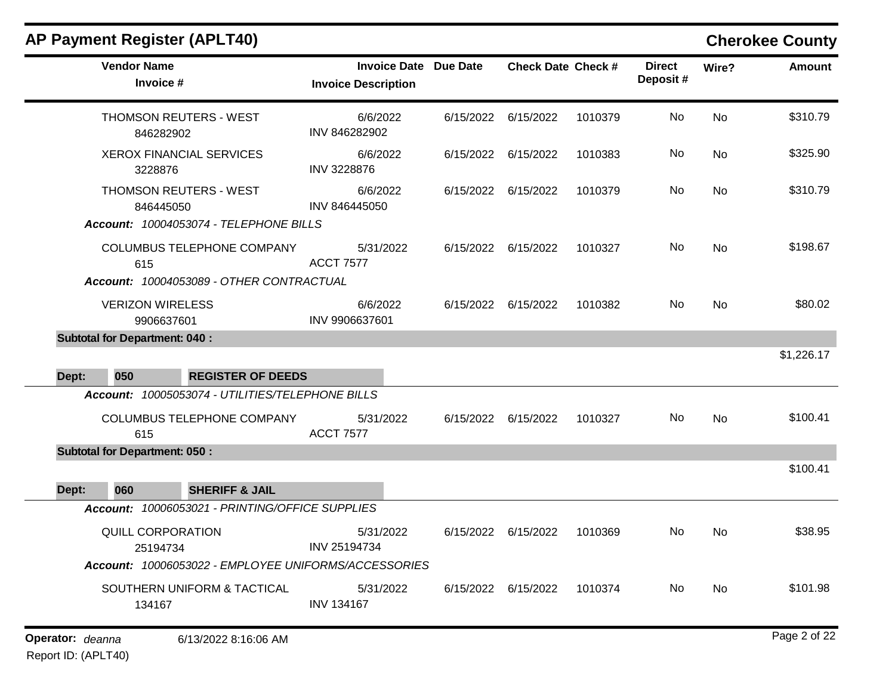| AP Payment Register (APLT40) |  |  |
|------------------------------|--|--|
|------------------------------|--|--|

## **Cherokee County**

| <b>Vendor Name</b><br>Invoice #                      | <b>Invoice Date Due Date</b><br><b>Invoice Description</b> |                     | <b>Check Date Check #</b> |         | <b>Direct</b><br>Deposit# | Wire?     | <b>Amount</b> |
|------------------------------------------------------|------------------------------------------------------------|---------------------|---------------------------|---------|---------------------------|-----------|---------------|
| THOMSON REUTERS - WEST<br>846282902                  | 6/6/2022<br>INV 846282902                                  |                     | 6/15/2022 6/15/2022       | 1010379 | No                        | <b>No</b> | \$310.79      |
| <b>XEROX FINANCIAL SERVICES</b><br>3228876           | 6/6/2022<br>INV 3228876                                    | 6/15/2022 6/15/2022 |                           | 1010383 | No                        | <b>No</b> | \$325.90      |
| THOMSON REUTERS - WEST<br>846445050                  | 6/6/2022<br>INV 846445050                                  | 6/15/2022 6/15/2022 |                           | 1010379 | No.                       | No.       | \$310.79      |
| Account: 10004053074 - TELEPHONE BILLS               |                                                            |                     |                           |         |                           |           |               |
| COLUMBUS TELEPHONE COMPANY<br>615                    | 5/31/2022<br><b>ACCT 7577</b>                              | 6/15/2022           | 6/15/2022                 | 1010327 | No.                       | <b>No</b> | \$198.67      |
| Account: 10004053089 - OTHER CONTRACTUAL             |                                                            |                     |                           |         |                           |           |               |
| <b>VERIZON WIRELESS</b><br>9906637601                | 6/6/2022<br>INV 9906637601                                 | 6/15/2022           | 6/15/2022                 | 1010382 | No.                       | <b>No</b> | \$80.02       |
| <b>Subtotal for Department: 040:</b>                 |                                                            |                     |                           |         |                           |           |               |
|                                                      |                                                            |                     |                           |         |                           |           | \$1,226.17    |
| <b>REGISTER OF DEEDS</b><br>Dept:<br>050             |                                                            |                     |                           |         |                           |           |               |
| Account: 10005053074 - UTILITIES/TELEPHONE BILLS     |                                                            |                     |                           |         |                           |           |               |
| COLUMBUS TELEPHONE COMPANY<br>615                    | 5/31/2022<br><b>ACCT 7577</b>                              | 6/15/2022           | 6/15/2022                 | 1010327 | No.                       | <b>No</b> | \$100.41      |
| <b>Subtotal for Department: 050:</b>                 |                                                            |                     |                           |         |                           |           |               |
|                                                      |                                                            |                     |                           |         |                           |           | \$100.41      |
| 060<br><b>SHERIFF &amp; JAIL</b><br>Dept:            |                                                            |                     |                           |         |                           |           |               |
| Account: 10006053021 - PRINTING/OFFICE SUPPLIES      |                                                            |                     |                           |         |                           |           |               |
| QUILL CORPORATION<br>25194734                        | 5/31/2022<br>INV 25194734                                  | 6/15/2022           | 6/15/2022                 | 1010369 | No.                       | <b>No</b> | \$38.95       |
| Account: 10006053022 - EMPLOYEE UNIFORMS/ACCESSORIES |                                                            |                     |                           |         |                           |           |               |
| SOUTHERN UNIFORM & TACTICAL<br>134167                | 5/31/2022<br><b>INV 134167</b>                             | 6/15/2022           | 6/15/2022                 | 1010374 | No.                       | <b>No</b> | \$101.98      |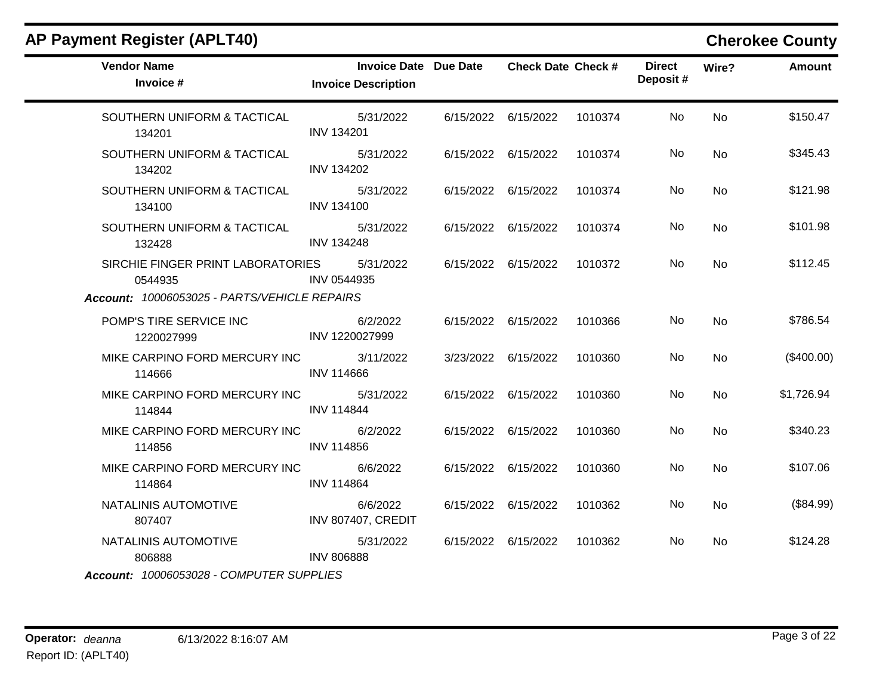| <b>Vendor Name</b><br>Invoice #              | <b>Invoice Date Due Date</b><br><b>Invoice Description</b> | <b>Check Date Check #</b> |         | <b>Direct</b><br>Deposit# | Wire?     | <b>Amount</b> |
|----------------------------------------------|------------------------------------------------------------|---------------------------|---------|---------------------------|-----------|---------------|
| SOUTHERN UNIFORM & TACTICAL<br>134201        | 5/31/2022<br><b>INV 134201</b>                             | 6/15/2022 6/15/2022       | 1010374 | No.                       | <b>No</b> | \$150.47      |
| SOUTHERN UNIFORM & TACTICAL<br>134202        | 5/31/2022<br><b>INV 134202</b>                             | 6/15/2022 6/15/2022       | 1010374 | No.                       | <b>No</b> | \$345.43      |
| SOUTHERN UNIFORM & TACTICAL<br>134100        | 5/31/2022<br><b>INV 134100</b>                             | 6/15/2022 6/15/2022       | 1010374 | No.                       | <b>No</b> | \$121.98      |
| SOUTHERN UNIFORM & TACTICAL<br>132428        | 5/31/2022<br><b>INV 134248</b>                             | 6/15/2022 6/15/2022       | 1010374 | No.                       | <b>No</b> | \$101.98      |
| SIRCHIE FINGER PRINT LABORATORIES<br>0544935 | 5/31/2022<br>INV 0544935                                   | 6/15/2022 6/15/2022       | 1010372 | No.                       | No.       | \$112.45      |
| Account: 10006053025 - PARTS/VEHICLE REPAIRS |                                                            |                           |         |                           |           |               |
| POMP'S TIRE SERVICE INC<br>1220027999        | 6/2/2022<br>INV 1220027999                                 | 6/15/2022 6/15/2022       | 1010366 | No.                       | <b>No</b> | \$786.54      |
| MIKE CARPINO FORD MERCURY INC<br>114666      | 3/11/2022<br><b>INV 114666</b>                             | 3/23/2022 6/15/2022       | 1010360 | No                        | No        | $(\$400.00)$  |
| MIKE CARPINO FORD MERCURY INC<br>114844      | 5/31/2022<br><b>INV 114844</b>                             | 6/15/2022 6/15/2022       | 1010360 | No                        | No        | \$1,726.94    |
| MIKE CARPINO FORD MERCURY INC<br>114856      | 6/2/2022<br><b>INV 114856</b>                              | 6/15/2022 6/15/2022       | 1010360 | No.                       | <b>No</b> | \$340.23      |
| MIKE CARPINO FORD MERCURY INC<br>114864      | 6/6/2022<br><b>INV 114864</b>                              | 6/15/2022 6/15/2022       | 1010360 | No.                       | <b>No</b> | \$107.06      |
| NATALINIS AUTOMOTIVE<br>807407               | 6/6/2022<br><b>INV 807407, CREDIT</b>                      | 6/15/2022 6/15/2022       | 1010362 | No                        | No        | (\$84.99)     |
| NATALINIS AUTOMOTIVE<br>806888               | 5/31/2022<br><b>INV 806888</b>                             | 6/15/2022 6/15/2022       | 1010362 | No                        | No        | \$124.28      |
| Account: 10006053028 - COMPUTER SUPPLIES     |                                                            |                           |         |                           |           |               |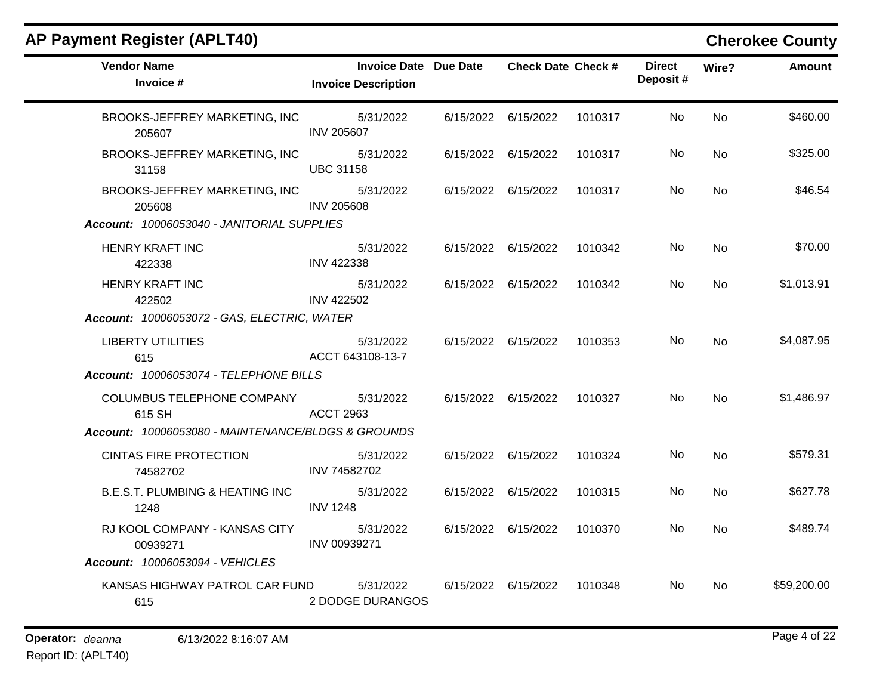| <b>Vendor Name</b><br>Invoice #                                                            | <b>Invoice Date Due Date</b><br><b>Invoice Description</b> | <b>Check Date Check #</b> |         | <b>Direct</b><br>Deposit# | Wire?     | <b>Amount</b> |
|--------------------------------------------------------------------------------------------|------------------------------------------------------------|---------------------------|---------|---------------------------|-----------|---------------|
| BROOKS-JEFFREY MARKETING, INC<br>205607                                                    | 5/31/2022<br><b>INV 205607</b>                             | 6/15/2022 6/15/2022       | 1010317 | No.                       | <b>No</b> | \$460.00      |
| BROOKS-JEFFREY MARKETING, INC<br>31158                                                     | 5/31/2022<br><b>UBC 31158</b>                              | 6/15/2022 6/15/2022       | 1010317 | No                        | <b>No</b> | \$325.00      |
| BROOKS-JEFFREY MARKETING, INC<br>205608<br>Account: 10006053040 - JANITORIAL SUPPLIES      | 5/31/2022<br><b>INV 205608</b>                             | 6/15/2022 6/15/2022       | 1010317 | No.                       | No        | \$46.54       |
| HENRY KRAFT INC<br>422338                                                                  | 5/31/2022<br><b>INV 422338</b>                             | 6/15/2022 6/15/2022       | 1010342 | No.                       | No        | \$70.00       |
| <b>HENRY KRAFT INC</b><br>422502<br>Account: 10006053072 - GAS, ELECTRIC, WATER            | 5/31/2022<br><b>INV 422502</b>                             | 6/15/2022 6/15/2022       | 1010342 | No                        | <b>No</b> | \$1,013.91    |
| <b>LIBERTY UTILITIES</b><br>615<br>Account: 10006053074 - TELEPHONE BILLS                  | 5/31/2022<br>ACCT 643108-13-7                              | 6/15/2022 6/15/2022       | 1010353 | No.                       | No        | \$4,087.95    |
| COLUMBUS TELEPHONE COMPANY<br>615 SH<br>Account: 10006053080 - MAINTENANCE/BLDGS & GROUNDS | 5/31/2022<br>ACCT 2963                                     | 6/15/2022 6/15/2022       | 1010327 | No.                       | <b>No</b> | \$1,486.97    |
| <b>CINTAS FIRE PROTECTION</b><br>74582702                                                  | 5/31/2022<br>INV 74582702                                  | 6/15/2022 6/15/2022       | 1010324 | No.                       | <b>No</b> | \$579.31      |
| <b>B.E.S.T. PLUMBING &amp; HEATING INC</b><br>1248                                         | 5/31/2022<br><b>INV 1248</b>                               | 6/15/2022 6/15/2022       | 1010315 | No.                       | <b>No</b> | \$627.78      |
| RJ KOOL COMPANY - KANSAS CITY<br>00939271<br>Account: 10006053094 - VEHICLES               | 5/31/2022<br>INV 00939271                                  | 6/15/2022 6/15/2022       | 1010370 | No.                       | <b>No</b> | \$489.74      |
| KANSAS HIGHWAY PATROL CAR FUND<br>615                                                      | 5/31/2022<br>2 DODGE DURANGOS                              | 6/15/2022 6/15/2022       | 1010348 | No.                       | <b>No</b> | \$59,200.00   |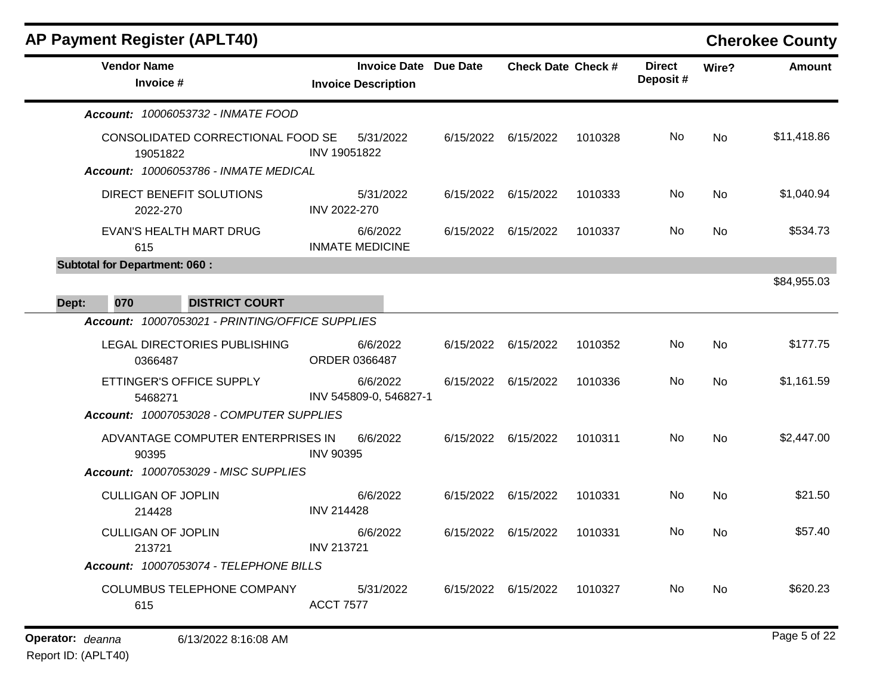| <b>AP Payment Register (APLT40)</b>             |                     |                                                            |           |                           |         |                           |           | <b>Cherokee County</b> |
|-------------------------------------------------|---------------------|------------------------------------------------------------|-----------|---------------------------|---------|---------------------------|-----------|------------------------|
| <b>Vendor Name</b><br>Invoice #                 |                     | <b>Invoice Date Due Date</b><br><b>Invoice Description</b> |           | <b>Check Date Check #</b> |         | <b>Direct</b><br>Deposit# | Wire?     | <b>Amount</b>          |
| Account: 10006053732 - INMATE FOOD              |                     |                                                            |           |                           |         |                           |           |                        |
| CONSOLIDATED CORRECTIONAL FOOD SE<br>19051822   |                     | 5/31/2022<br>INV 19051822                                  | 6/15/2022 | 6/15/2022                 | 1010328 | No                        | <b>No</b> | \$11,418.86            |
| Account: 10006053786 - INMATE MEDICAL           |                     |                                                            |           |                           |         |                           |           |                        |
| DIRECT BENEFIT SOLUTIONS<br>2022-270            | <b>INV 2022-270</b> | 5/31/2022                                                  | 6/15/2022 | 6/15/2022                 | 1010333 | No                        | <b>No</b> | \$1,040.94             |
| EVAN'S HEALTH MART DRUG<br>615                  |                     | 6/6/2022<br><b>INMATE MEDICINE</b>                         | 6/15/2022 | 6/15/2022                 | 1010337 | No.                       | No        | \$534.73               |
| <b>Subtotal for Department: 060:</b>            |                     |                                                            |           |                           |         |                           |           |                        |
|                                                 |                     |                                                            |           |                           |         |                           |           | \$84,955.03            |
| 070<br><b>DISTRICT COURT</b><br>Dept:           |                     |                                                            |           |                           |         |                           |           |                        |
| Account: 10007053021 - PRINTING/OFFICE SUPPLIES |                     |                                                            |           |                           |         |                           |           |                        |
| LEGAL DIRECTORIES PUBLISHING<br>0366487         |                     | 6/6/2022<br>ORDER 0366487                                  | 6/15/2022 | 6/15/2022                 | 1010352 | No                        | <b>No</b> | \$177.75               |
| ETTINGER'S OFFICE SUPPLY<br>5468271             |                     | 6/6/2022<br>INV 545809-0, 546827-1                         | 6/15/2022 | 6/15/2022                 | 1010336 | No.                       | <b>No</b> | \$1,161.59             |
| Account: 10007053028 - COMPUTER SUPPLIES        |                     |                                                            |           |                           |         |                           |           |                        |
| ADVANTAGE COMPUTER ENTERPRISES IN<br>90395      | <b>INV 90395</b>    | 6/6/2022                                                   |           | 6/15/2022 6/15/2022       | 1010311 | No                        | <b>No</b> | \$2,447.00             |
| Account: 10007053029 - MISC SUPPLIES            |                     |                                                            |           |                           |         |                           |           |                        |
| <b>CULLIGAN OF JOPLIN</b><br>214428             | <b>INV 214428</b>   | 6/6/2022                                                   | 6/15/2022 | 6/15/2022                 | 1010331 | No                        | No        | \$21.50                |
| <b>CULLIGAN OF JOPLIN</b><br>213721             | <b>INV 213721</b>   | 6/6/2022                                                   | 6/15/2022 | 6/15/2022                 | 1010331 | No                        | <b>No</b> | \$57.40                |
| Account: 10007053074 - TELEPHONE BILLS          |                     |                                                            |           |                           |         |                           |           |                        |
| COLUMBUS TELEPHONE COMPANY<br>615               | <b>ACCT 7577</b>    | 5/31/2022                                                  | 6/15/2022 | 6/15/2022                 | 1010327 | No.                       | No.       | \$620.23               |
|                                                 |                     |                                                            |           |                           |         |                           |           |                        |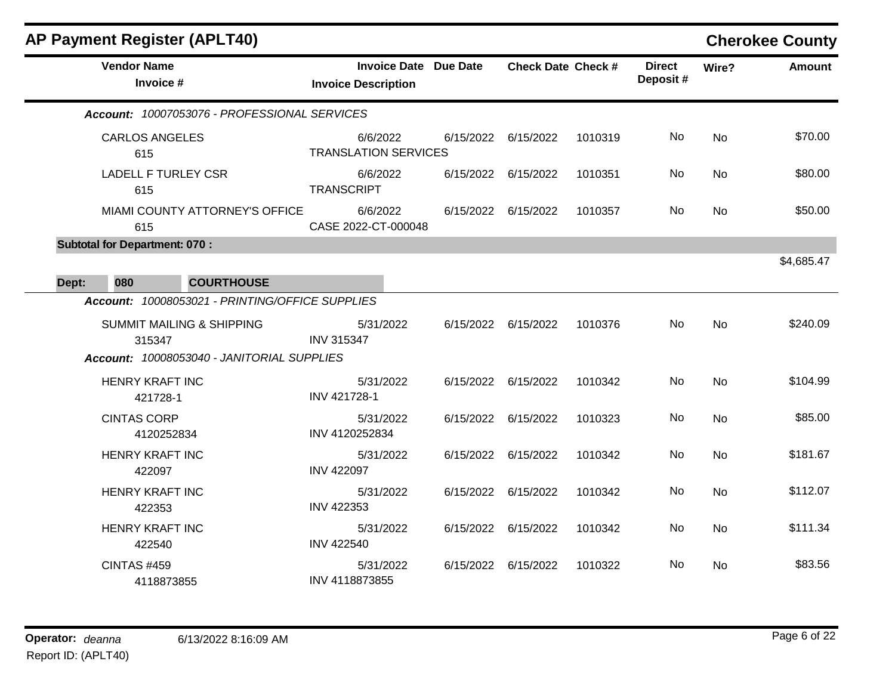|       |                                      | <b>AP Payment Register (APLT40)</b>             |                             |                       |           |                           |         |                           |           | <b>Cherokee County</b> |
|-------|--------------------------------------|-------------------------------------------------|-----------------------------|-----------------------|-----------|---------------------------|---------|---------------------------|-----------|------------------------|
|       | <b>Vendor Name</b><br>Invoice #      |                                                 | <b>Invoice Description</b>  | Invoice Date Due Date |           | <b>Check Date Check #</b> |         | <b>Direct</b><br>Deposit# | Wire?     | <b>Amount</b>          |
|       |                                      | Account: 10007053076 - PROFESSIONAL SERVICES    |                             |                       |           |                           |         |                           |           |                        |
|       | <b>CARLOS ANGELES</b><br>615         |                                                 | <b>TRANSLATION SERVICES</b> | 6/6/2022              |           | 6/15/2022 6/15/2022       | 1010319 | No                        | <b>No</b> | \$70.00                |
|       | <b>LADELL F TURLEY CSR</b><br>615    |                                                 | <b>TRANSCRIPT</b>           | 6/6/2022              |           | 6/15/2022 6/15/2022       | 1010351 | No                        | <b>No</b> | \$80.00                |
|       | 615                                  | MIAMI COUNTY ATTORNEY'S OFFICE                  | CASE 2022-CT-000048         | 6/6/2022              |           | 6/15/2022 6/15/2022       | 1010357 | No.                       | No        | \$50.00                |
|       | <b>Subtotal for Department: 070:</b> |                                                 |                             |                       |           |                           |         |                           |           | \$4,685.47             |
| Dept: | 080                                  | <b>COURTHOUSE</b>                               |                             |                       |           |                           |         |                           |           |                        |
|       |                                      | Account: 10008053021 - PRINTING/OFFICE SUPPLIES |                             |                       |           |                           |         |                           |           |                        |
|       | 315347                               | <b>SUMMIT MAILING &amp; SHIPPING</b>            | <b>INV 315347</b>           | 5/31/2022             |           | 6/15/2022 6/15/2022       | 1010376 | No                        | <b>No</b> | \$240.09               |
|       |                                      | Account: 10008053040 - JANITORIAL SUPPLIES      |                             |                       |           |                           |         |                           |           |                        |
|       | <b>HENRY KRAFT INC</b><br>421728-1   |                                                 | INV 421728-1                | 5/31/2022             |           | 6/15/2022 6/15/2022       | 1010342 | No                        | No        | \$104.99               |
|       | <b>CINTAS CORP</b><br>4120252834     |                                                 | INV 4120252834              | 5/31/2022             | 6/15/2022 | 6/15/2022                 | 1010323 | No                        | <b>No</b> | \$85.00                |
|       | <b>HENRY KRAFT INC</b><br>422097     |                                                 | <b>INV 422097</b>           | 5/31/2022             | 6/15/2022 | 6/15/2022                 | 1010342 | No                        | <b>No</b> | \$181.67               |
|       | <b>HENRY KRAFT INC</b><br>422353     |                                                 | <b>INV 422353</b>           | 5/31/2022             | 6/15/2022 | 6/15/2022                 | 1010342 | No                        | No        | \$112.07               |
|       | <b>HENRY KRAFT INC</b><br>422540     |                                                 | <b>INV 422540</b>           | 5/31/2022             | 6/15/2022 | 6/15/2022                 | 1010342 | No                        | <b>No</b> | \$111.34               |
|       | <b>CINTAS #459</b><br>4118873855     |                                                 | INV 4118873855              | 5/31/2022             |           | 6/15/2022 6/15/2022       | 1010322 | No                        | <b>No</b> | \$83.56                |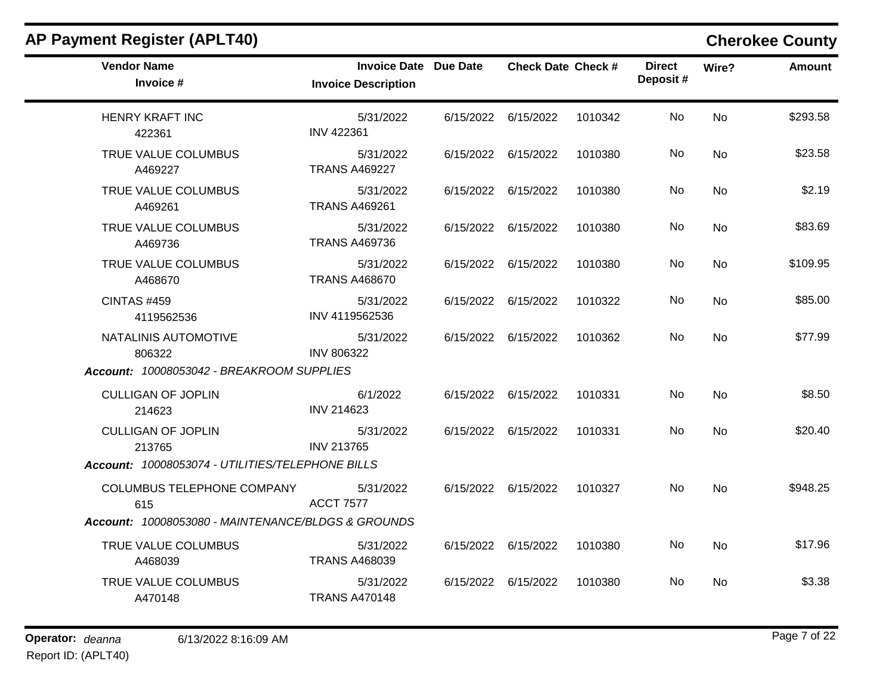| <b>Vendor Name</b><br>Invoice #                    | Invoice Date Due Date<br><b>Invoice Description</b> |                     | <b>Check Date Check #</b> |         | <b>Direct</b><br>Deposit# | Wire?     | <b>Amount</b> |
|----------------------------------------------------|-----------------------------------------------------|---------------------|---------------------------|---------|---------------------------|-----------|---------------|
| <b>HENRY KRAFT INC</b><br>422361                   | 5/31/2022<br><b>INV 422361</b>                      |                     | 6/15/2022 6/15/2022       | 1010342 | No.                       | <b>No</b> | \$293.58      |
| TRUE VALUE COLUMBUS<br>A469227                     | 5/31/2022<br><b>TRANS A469227</b>                   |                     | 6/15/2022 6/15/2022       | 1010380 | No                        | <b>No</b> | \$23.58       |
| TRUE VALUE COLUMBUS<br>A469261                     | 5/31/2022<br><b>TRANS A469261</b>                   |                     | 6/15/2022 6/15/2022       | 1010380 | No                        | <b>No</b> | \$2.19        |
| TRUE VALUE COLUMBUS<br>A469736                     | 5/31/2022<br><b>TRANS A469736</b>                   |                     | 6/15/2022 6/15/2022       | 1010380 | No.                       | No.       | \$83.69       |
| TRUE VALUE COLUMBUS<br>A468670                     | 5/31/2022<br><b>TRANS A468670</b>                   |                     | 6/15/2022 6/15/2022       | 1010380 | No                        | <b>No</b> | \$109.95      |
| <b>CINTAS #459</b><br>4119562536                   | 5/31/2022<br>INV 4119562536                         |                     | 6/15/2022 6/15/2022       | 1010322 | No.                       | <b>No</b> | \$85.00       |
| NATALINIS AUTOMOTIVE<br>806322                     | 5/31/2022<br><b>INV 806322</b>                      | 6/15/2022 6/15/2022 |                           | 1010362 | No                        | <b>No</b> | \$77.99       |
| Account: 10008053042 - BREAKROOM SUPPLIES          |                                                     |                     |                           |         |                           |           |               |
| <b>CULLIGAN OF JOPLIN</b><br>214623                | 6/1/2022<br><b>INV 214623</b>                       |                     | 6/15/2022 6/15/2022       | 1010331 | No.                       | <b>No</b> | \$8.50        |
| <b>CULLIGAN OF JOPLIN</b><br>213765                | 5/31/2022<br><b>INV 213765</b>                      |                     | 6/15/2022 6/15/2022       | 1010331 | No.                       | <b>No</b> | \$20.40       |
| Account: 10008053074 - UTILITIES/TELEPHONE BILLS   |                                                     |                     |                           |         |                           |           |               |
| COLUMBUS TELEPHONE COMPANY<br>615                  | 5/31/2022<br><b>ACCT 7577</b>                       |                     | 6/15/2022 6/15/2022       | 1010327 | No.                       | <b>No</b> | \$948.25      |
| Account: 10008053080 - MAINTENANCE/BLDGS & GROUNDS |                                                     |                     |                           |         |                           |           |               |
| TRUE VALUE COLUMBUS<br>A468039                     | 5/31/2022<br><b>TRANS A468039</b>                   |                     | 6/15/2022 6/15/2022       | 1010380 | No.                       | <b>No</b> | \$17.96       |
| TRUE VALUE COLUMBUS<br>A470148                     | 5/31/2022<br><b>TRANS A470148</b>                   |                     | 6/15/2022 6/15/2022       | 1010380 | No.                       | No.       | \$3.38        |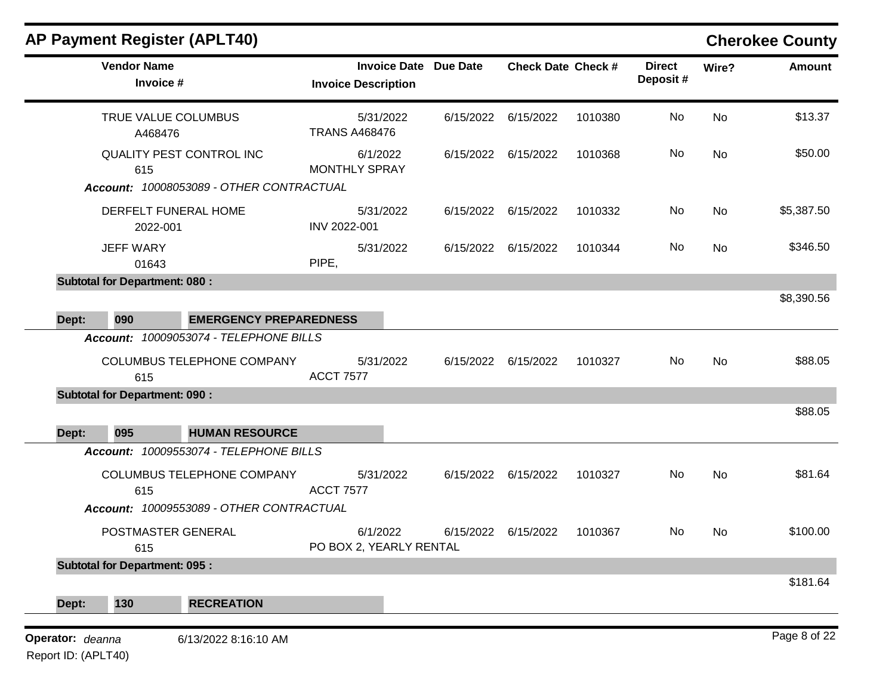|                                  |                                      | <b>AP Payment Register (APLT40)</b>      |                                                   |                 |                           |         |                           |            | <b>Cherokee County</b> |
|----------------------------------|--------------------------------------|------------------------------------------|---------------------------------------------------|-----------------|---------------------------|---------|---------------------------|------------|------------------------|
|                                  | <b>Vendor Name</b><br>Invoice #      |                                          | <b>Invoice Date</b><br><b>Invoice Description</b> | <b>Due Date</b> | <b>Check Date Check #</b> |         | <b>Direct</b><br>Deposit# | Wire?      | <b>Amount</b>          |
|                                  | A468476                              | TRUE VALUE COLUMBUS                      | 5/31/2022<br><b>TRANS A468476</b>                 | 6/15/2022       | 6/15/2022                 | 1010380 | No                        | No         | \$13.37                |
|                                  | 615                                  | QUALITY PEST CONTROL INC                 | 6/1/2022<br><b>MONTHLY SPRAY</b>                  |                 | 6/15/2022 6/15/2022       | 1010368 | No                        | <b>No</b>  | \$50.00                |
|                                  |                                      | Account: 10008053089 - OTHER CONTRACTUAL |                                                   |                 |                           |         |                           |            |                        |
| DERFELT FUNERAL HOME<br>2022-001 |                                      | 5/31/2022<br>INV 2022-001                | 6/15/2022                                         | 6/15/2022       | 1010332                   | No      | No                        | \$5,387.50 |                        |
| <b>JEFF WARY</b><br>01643        |                                      |                                          | 5/31/2022<br>PIPE,                                |                 | 6/15/2022 6/15/2022       | 1010344 | No                        | No         | \$346.50               |
|                                  | <b>Subtotal for Department: 080:</b> |                                          |                                                   |                 |                           |         |                           |            |                        |
| Dept:                            | 090                                  | <b>EMERGENCY PREPAREDNESS</b>            |                                                   |                 |                           |         |                           |            | \$8,390.56             |
|                                  |                                      | Account: 10009053074 - TELEPHONE BILLS   |                                                   |                 |                           |         |                           |            |                        |
|                                  | 615                                  | COLUMBUS TELEPHONE COMPANY               | 5/31/2022<br><b>ACCT 7577</b>                     | 6/15/2022       | 6/15/2022                 | 1010327 | No                        | No         | \$88.05                |
|                                  | <b>Subtotal for Department: 090:</b> |                                          |                                                   |                 |                           |         |                           |            |                        |
| Dept:                            | 095                                  | <b>HUMAN RESOURCE</b>                    |                                                   |                 |                           |         |                           |            | \$88.05                |
|                                  |                                      | Account: 10009553074 - TELEPHONE BILLS   |                                                   |                 |                           |         |                           |            |                        |
|                                  | 615                                  | COLUMBUS TELEPHONE COMPANY               | 5/31/2022<br><b>ACCT 7577</b>                     |                 | 6/15/2022 6/15/2022       | 1010327 | No                        | No         | \$81.64                |
|                                  |                                      | Account: 10009553089 - OTHER CONTRACTUAL |                                                   |                 |                           |         |                           |            |                        |
|                                  | POSTMASTER GENERAL<br>615            |                                          | 6/1/2022<br>PO BOX 2, YEARLY RENTAL               |                 | 6/15/2022 6/15/2022       | 1010367 | No.                       | No         | \$100.00               |
|                                  | <b>Subtotal for Department: 095:</b> |                                          |                                                   |                 |                           |         |                           |            |                        |
| Dept:                            | 130                                  | <b>RECREATION</b>                        |                                                   |                 |                           |         |                           |            | \$181.64               |
|                                  |                                      |                                          |                                                   |                 |                           |         |                           |            |                        |
| Operator: deanna                 |                                      | 6/13/2022 8:16:10 AM                     |                                                   |                 |                           |         |                           |            | Page 8 of 22           |

Report ID: (APLT40)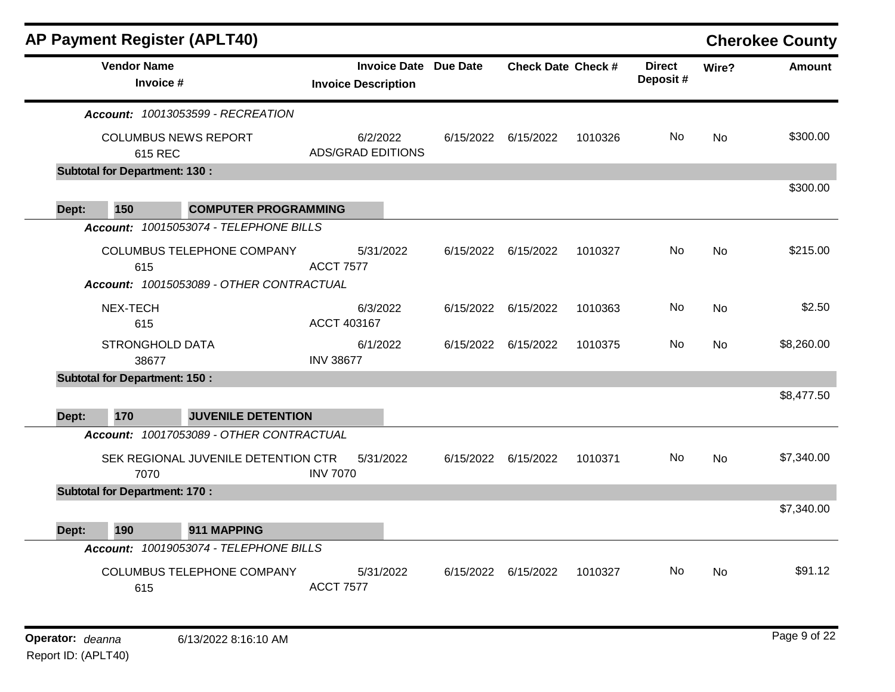|       | <b>AP Payment Register (APLT40)</b>    |                                          |                            |           |                              |                           |         |                           |           | <b>Cherokee County</b> |
|-------|----------------------------------------|------------------------------------------|----------------------------|-----------|------------------------------|---------------------------|---------|---------------------------|-----------|------------------------|
|       | <b>Vendor Name</b><br>Invoice #        |                                          | <b>Invoice Description</b> |           | <b>Invoice Date Due Date</b> | <b>Check Date Check #</b> |         | <b>Direct</b><br>Deposit# | Wire?     | <b>Amount</b>          |
|       |                                        | Account: 10013053599 - RECREATION        |                            |           |                              |                           |         |                           |           |                        |
|       | <b>COLUMBUS NEWS REPORT</b><br>615 REC |                                          | <b>ADS/GRAD EDITIONS</b>   | 6/2/2022  |                              | 6/15/2022 6/15/2022       | 1010326 | No.                       | <b>No</b> | \$300.00               |
|       | <b>Subtotal for Department: 130:</b>   |                                          |                            |           |                              |                           |         |                           |           |                        |
|       |                                        |                                          |                            |           |                              |                           |         |                           |           | \$300.00               |
| Dept: | 150                                    | <b>COMPUTER PROGRAMMING</b>              |                            |           |                              |                           |         |                           |           |                        |
|       |                                        | Account: 10015053074 - TELEPHONE BILLS   |                            |           |                              |                           |         |                           |           |                        |
|       | 615                                    | COLUMBUS TELEPHONE COMPANY               | <b>ACCT 7577</b>           | 5/31/2022 | 6/15/2022                    | 6/15/2022                 | 1010327 | No.                       | <b>No</b> | \$215.00               |
|       |                                        | Account: 10015053089 - OTHER CONTRACTUAL |                            |           |                              |                           |         |                           |           |                        |
|       | NEX-TECH<br>615                        |                                          | ACCT 403167                | 6/3/2022  | 6/15/2022                    | 6/15/2022                 | 1010363 | No                        | <b>No</b> | \$2.50                 |
|       | <b>STRONGHOLD DATA</b><br>38677        |                                          | <b>INV 38677</b>           | 6/1/2022  | 6/15/2022                    | 6/15/2022                 | 1010375 | No                        | <b>No</b> | \$8,260.00             |
|       | <b>Subtotal for Department: 150:</b>   |                                          |                            |           |                              |                           |         |                           |           |                        |
| Dept: | 170                                    | <b>JUVENILE DETENTION</b>                |                            |           |                              |                           |         |                           |           | \$8,477.50             |
|       |                                        | Account: 10017053089 - OTHER CONTRACTUAL |                            |           |                              |                           |         |                           |           |                        |
|       | 7070                                   | SEK REGIONAL JUVENILE DETENTION CTR      | <b>INV 7070</b>            | 5/31/2022 | 6/15/2022                    | 6/15/2022                 | 1010371 | No.                       | <b>No</b> | \$7,340.00             |
|       | <b>Subtotal for Department: 170:</b>   |                                          |                            |           |                              |                           |         |                           |           |                        |
|       |                                        |                                          |                            |           |                              |                           |         |                           |           | \$7,340.00             |
| Dept: | 190                                    | 911 MAPPING                              |                            |           |                              |                           |         |                           |           |                        |
|       |                                        | Account: 10019053074 - TELEPHONE BILLS   |                            |           |                              |                           |         |                           |           |                        |
|       | 615                                    | <b>COLUMBUS TELEPHONE COMPANY</b>        | <b>ACCT 7577</b>           | 5/31/2022 | 6/15/2022                    | 6/15/2022                 | 1010327 | No                        | <b>No</b> | \$91.12                |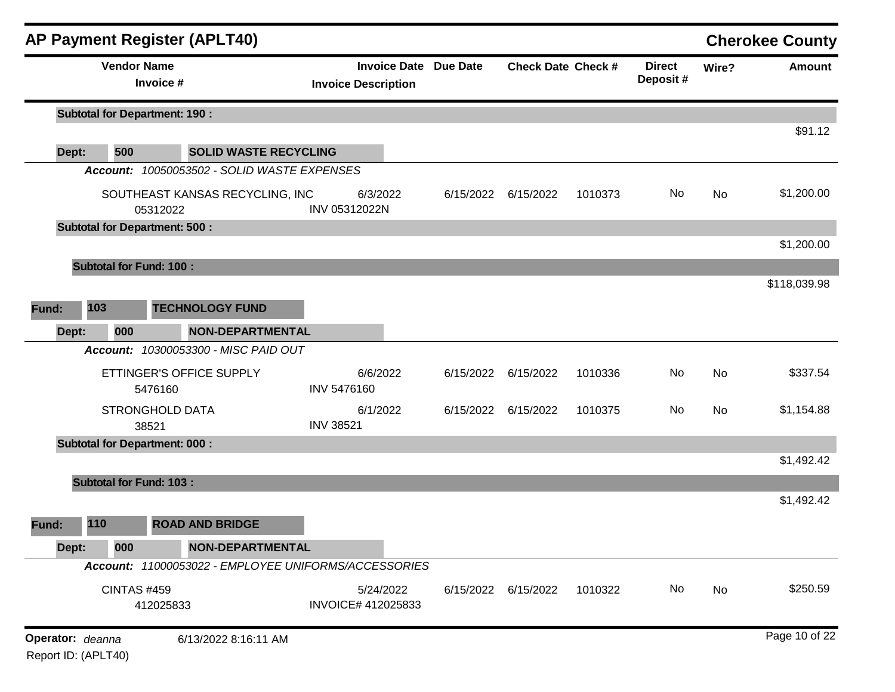|                  |                                | <b>AP Payment Register (APLT40)</b>                  |                              |                                |           |                              |                           |         |                           |           | <b>Cherokee County</b> |
|------------------|--------------------------------|------------------------------------------------------|------------------------------|--------------------------------|-----------|------------------------------|---------------------------|---------|---------------------------|-----------|------------------------|
|                  | <b>Vendor Name</b>             | Invoice #                                            |                              | <b>Invoice Description</b>     |           | <b>Invoice Date Due Date</b> | <b>Check Date Check #</b> |         | <b>Direct</b><br>Deposit# | Wire?     | <b>Amount</b>          |
|                  |                                | <b>Subtotal for Department: 190:</b>                 |                              |                                |           |                              |                           |         |                           |           |                        |
| Dept:            | 500                            |                                                      | <b>SOLID WASTE RECYCLING</b> |                                |           |                              |                           |         |                           |           | \$91.12                |
|                  |                                | Account: 10050053502 - SOLID WASTE EXPENSES          |                              |                                |           |                              |                           |         |                           |           |                        |
|                  |                                | SOUTHEAST KANSAS RECYCLING, INC<br>05312022          |                              | 6/3/2022<br>INV 05312022N      |           |                              | 6/15/2022 6/15/2022       | 1010373 | No                        | No        | \$1,200.00             |
|                  |                                | <b>Subtotal for Department: 500:</b>                 |                              |                                |           |                              |                           |         |                           |           |                        |
|                  |                                |                                                      |                              |                                |           |                              |                           |         |                           |           | \$1,200.00             |
|                  | <b>Subtotal for Fund: 100:</b> |                                                      |                              |                                |           |                              |                           |         |                           |           |                        |
|                  |                                |                                                      |                              |                                |           |                              |                           |         |                           |           | \$118,039.98           |
| Fund:            | 103                            | <b>TECHNOLOGY FUND</b>                               |                              |                                |           |                              |                           |         |                           |           |                        |
| Dept:            | 000                            |                                                      | <b>NON-DEPARTMENTAL</b>      |                                |           |                              |                           |         |                           |           |                        |
|                  |                                | <b>Account: 10300053300 - MISC PAID OUT</b>          |                              |                                |           |                              |                           |         |                           |           |                        |
|                  |                                | ETTINGER'S OFFICE SUPPLY<br>5476160                  |                              | 6/6/2022<br><b>INV 5476160</b> |           | 6/15/2022                    | 6/15/2022                 | 1010336 | No                        | <b>No</b> | \$337.54               |
|                  |                                | <b>STRONGHOLD DATA</b><br>38521                      |                              | 6/1/2022<br><b>INV 38521</b>   |           | 6/15/2022                    | 6/15/2022                 | 1010375 | No                        | No        | \$1,154.88             |
|                  |                                | <b>Subtotal for Department: 000:</b>                 |                              |                                |           |                              |                           |         |                           |           |                        |
|                  |                                |                                                      |                              |                                |           |                              |                           |         |                           |           | \$1,492.42             |
|                  | <b>Subtotal for Fund: 103:</b> |                                                      |                              |                                |           |                              |                           |         |                           |           | \$1,492.42             |
| Fund:            | 110                            | <b>ROAD AND BRIDGE</b>                               |                              |                                |           |                              |                           |         |                           |           |                        |
| Dept:            | 000                            |                                                      | <b>NON-DEPARTMENTAL</b>      |                                |           |                              |                           |         |                           |           |                        |
|                  |                                | Account: 11000053022 - EMPLOYEE UNIFORMS/ACCESSORIES |                              |                                |           |                              |                           |         |                           |           |                        |
|                  | <b>CINTAS #459</b>             | 412025833                                            |                              | INVOICE# 412025833             | 5/24/2022 | 6/15/2022                    | 6/15/2022                 | 1010322 | No                        | No        | \$250.59               |
| Operator: deanna | Report ID: (APLT40)            |                                                      | 6/13/2022 8:16:11 AM         |                                |           |                              |                           |         |                           |           | Page 10 of 22          |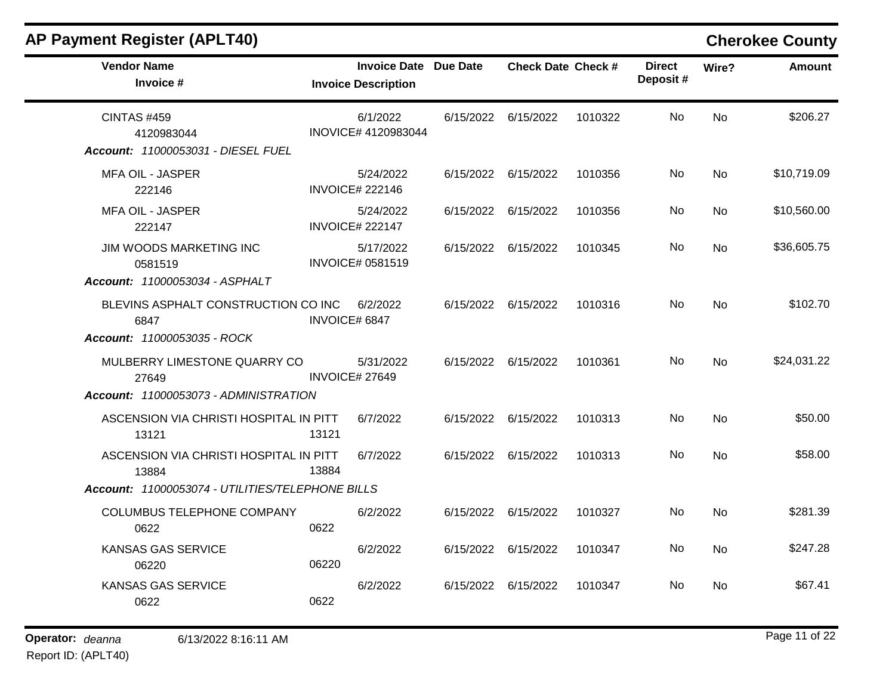| <b>AP Payment Register (APLT40)</b>                                                                                  |                                                            |           |                           |         |                           |                | <b>Cherokee County</b> |
|----------------------------------------------------------------------------------------------------------------------|------------------------------------------------------------|-----------|---------------------------|---------|---------------------------|----------------|------------------------|
| <b>Vendor Name</b><br>Invoice #                                                                                      | <b>Invoice Date Due Date</b><br><b>Invoice Description</b> |           | <b>Check Date Check #</b> |         | <b>Direct</b><br>Deposit# | Wire?          | <b>Amount</b>          |
| <b>CINTAS #459</b><br>4120983044<br>Account: 11000053031 - DIESEL FUEL                                               | 6/1/2022<br>INOVICE# 4120983044                            | 6/15/2022 | 6/15/2022                 | 1010322 | No                        | <b>No</b>      | \$206.27               |
| <b>MFA OIL - JASPER</b><br>222146                                                                                    | 5/24/2022<br><b>INVOICE# 222146</b>                        |           | 6/15/2022 6/15/2022       | 1010356 | <b>No</b>                 | <b>No</b>      | \$10,719.09            |
| <b>MFA OIL - JASPER</b><br>222147                                                                                    | 5/24/2022<br><b>INVOICE# 222147</b>                        |           | 6/15/2022 6/15/2022       | 1010356 | No.                       | No             | \$10,560.00            |
| JIM WOODS MARKETING INC<br>0581519<br>Account: 11000053034 - ASPHALT                                                 | 5/17/2022<br><b>INVOICE# 0581519</b>                       |           | 6/15/2022 6/15/2022       | 1010345 | No                        | No             | \$36,605.75            |
| BLEVINS ASPHALT CONSTRUCTION CO INC<br>6847                                                                          | 6/2/2022<br>INVOICE# 6847                                  |           | 6/15/2022 6/15/2022       | 1010316 | <b>No</b>                 | <b>No</b>      | \$102.70               |
| <b>Account: 11000053035 - ROCK</b><br>MULBERRY LIMESTONE QUARRY CO<br>27649<br>Account: 11000053073 - ADMINISTRATION | 5/31/2022<br><b>INVOICE# 27649</b>                         |           | 6/15/2022 6/15/2022       | 1010361 | No                        | <b>No</b>      | \$24,031.22            |
| ASCENSION VIA CHRISTI HOSPITAL IN PITT<br>13121                                                                      | 6/7/2022<br>13121                                          |           | 6/15/2022 6/15/2022       | 1010313 | No.                       | No             | \$50.00                |
| ASCENSION VIA CHRISTI HOSPITAL IN PITT<br>13884                                                                      | 6/7/2022<br>13884                                          |           | 6/15/2022 6/15/2022       | 1010313 | No                        | <b>No</b>      | \$58.00                |
| Account: 11000053074 - UTILITIES/TELEPHONE BILLS                                                                     |                                                            |           |                           |         |                           |                |                        |
| COLUMBUS TELEPHONE COMPANY<br>0622                                                                                   | 6/2/2022<br>0622                                           |           | 6/15/2022 6/15/2022       | 1010327 | No.                       | No             | \$281.39               |
| <b>KANSAS GAS SERVICE</b><br>06220                                                                                   | 6/2/2022<br>06220                                          |           | 6/15/2022 6/15/2022       | 1010347 | No.                       | No             | \$247.28               |
| <b>KANSAS GAS SERVICE</b><br>0622                                                                                    | 6/2/2022<br>0622                                           |           | 6/15/2022 6/15/2022       | 1010347 | No                        | N <sub>0</sub> | \$67.41                |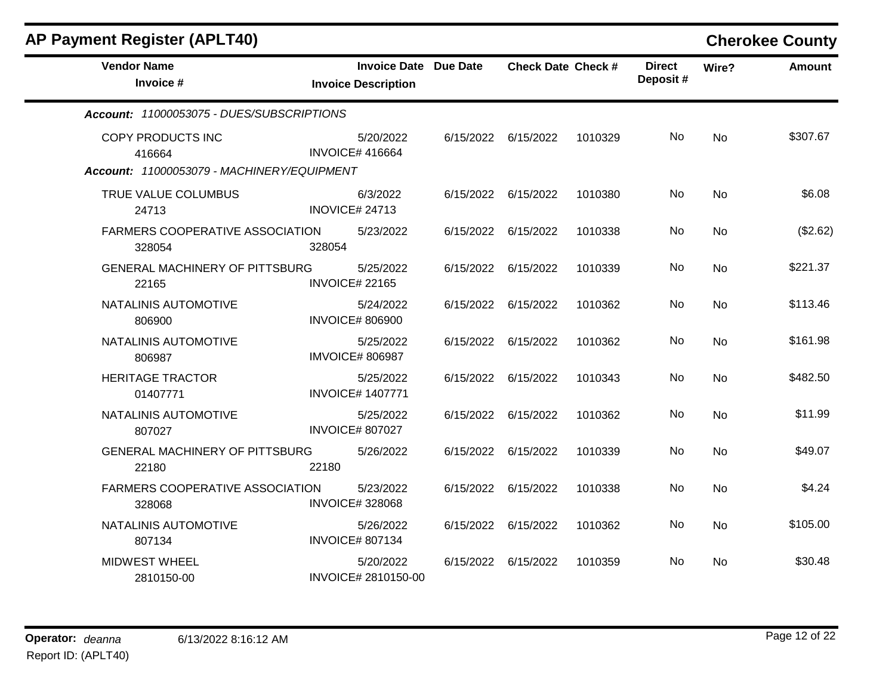| <b>AP Payment Register (APLT40)</b>                                       |                         |                                                            |           |                           |         |                           |           | <b>Cherokee County</b> |
|---------------------------------------------------------------------------|-------------------------|------------------------------------------------------------|-----------|---------------------------|---------|---------------------------|-----------|------------------------|
| <b>Vendor Name</b><br>Invoice #                                           |                         | <b>Invoice Date Due Date</b><br><b>Invoice Description</b> |           | <b>Check Date Check #</b> |         | <b>Direct</b><br>Deposit# | Wire?     | <b>Amount</b>          |
| Account: 11000053075 - DUES/SUBSCRIPTIONS                                 |                         |                                                            |           |                           |         |                           |           |                        |
| COPY PRODUCTS INC<br>416664<br>Account: 11000053079 - MACHINERY/EQUIPMENT | <b>INVOICE# 416664</b>  | 5/20/2022                                                  | 6/15/2022 | 6/15/2022                 | 1010329 | No                        | <b>No</b> | \$307.67               |
| TRUE VALUE COLUMBUS<br>24713                                              | <b>INOVICE# 24713</b>   | 6/3/2022                                                   |           | 6/15/2022 6/15/2022       | 1010380 | No                        | No        | \$6.08                 |
| <b>FARMERS COOPERATIVE ASSOCIATION</b><br>328054                          | 328054                  | 5/23/2022                                                  | 6/15/2022 | 6/15/2022                 | 1010338 | No.                       | No        | (\$2.62)               |
| <b>GENERAL MACHINERY OF PITTSBURG</b><br>22165                            | <b>INVOICE# 22165</b>   | 5/25/2022                                                  | 6/15/2022 | 6/15/2022                 | 1010339 | No                        | <b>No</b> | \$221.37               |
| NATALINIS AUTOMOTIVE<br>806900                                            | <b>INVOICE# 806900</b>  | 5/24/2022                                                  | 6/15/2022 | 6/15/2022                 | 1010362 | No                        | No        | \$113.46               |
| NATALINIS AUTOMOTIVE<br>806987                                            | <b>IMVOICE# 806987</b>  | 5/25/2022                                                  | 6/15/2022 | 6/15/2022                 | 1010362 | No                        | <b>No</b> | \$161.98               |
| <b>HERITAGE TRACTOR</b><br>01407771                                       | <b>INVOICE# 1407771</b> | 5/25/2022                                                  | 6/15/2022 | 6/15/2022                 | 1010343 | No                        | No        | \$482.50               |
| NATALINIS AUTOMOTIVE<br>807027                                            | <b>INVOICE# 807027</b>  | 5/25/2022                                                  | 6/15/2022 | 6/15/2022                 | 1010362 | No                        | <b>No</b> | \$11.99                |
| <b>GENERAL MACHINERY OF PITTSBURG</b><br>22180                            | 22180                   | 5/26/2022                                                  | 6/15/2022 | 6/15/2022                 | 1010339 | No                        | <b>No</b> | \$49.07                |
| FARMERS COOPERATIVE ASSOCIATION<br>328068                                 | <b>INVOICE#328068</b>   | 5/23/2022                                                  | 6/15/2022 | 6/15/2022                 | 1010338 | No                        | No        | \$4.24                 |
| NATALINIS AUTOMOTIVE<br>807134                                            | <b>INVOICE# 807134</b>  | 5/26/2022                                                  | 6/15/2022 | 6/15/2022                 | 1010362 | No.                       | No        | \$105.00               |
| <b>MIDWEST WHEEL</b><br>2810150-00                                        |                         | 5/20/2022<br>INVOICE# 2810150-00                           | 6/15/2022 | 6/15/2022                 | 1010359 | No                        | No        | \$30.48                |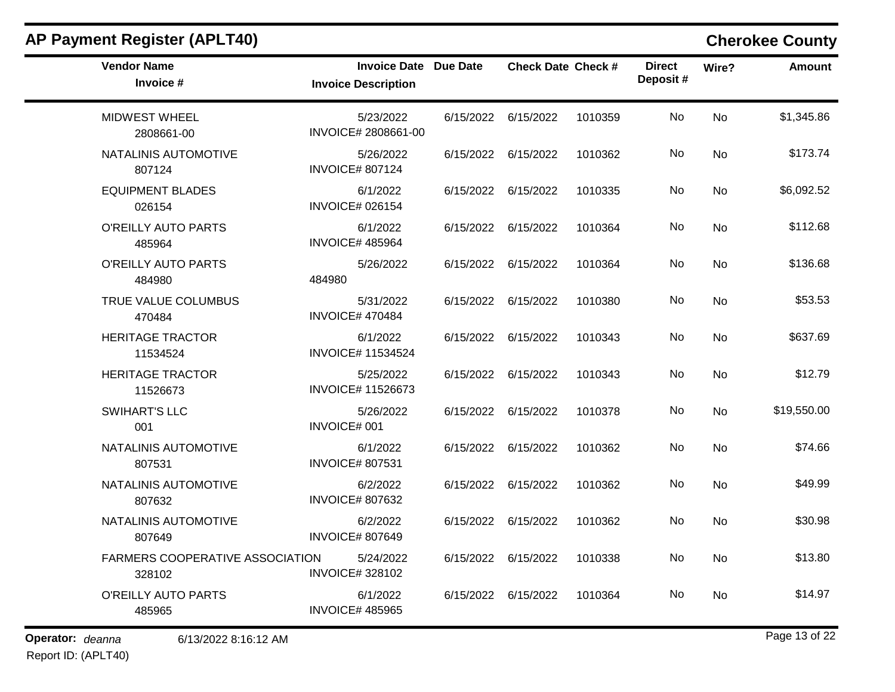| <b>AP Payment Register (APLT40)</b>       |                                                            |           |                           |         |                           |       | <b>Cherokee County</b> |
|-------------------------------------------|------------------------------------------------------------|-----------|---------------------------|---------|---------------------------|-------|------------------------|
| <b>Vendor Name</b><br>Invoice #           | <b>Invoice Date Due Date</b><br><b>Invoice Description</b> |           | <b>Check Date Check #</b> |         | <b>Direct</b><br>Deposit# | Wire? | <b>Amount</b>          |
| <b>MIDWEST WHEEL</b><br>2808661-00        | 5/23/2022<br>INVOICE# 2808661-00                           | 6/15/2022 | 6/15/2022                 | 1010359 | No                        | No    | \$1,345.86             |
| NATALINIS AUTOMOTIVE<br>807124            | 5/26/2022<br><b>INVOICE# 807124</b>                        | 6/15/2022 | 6/15/2022                 | 1010362 | No                        | No    | \$173.74               |
| <b>EQUIPMENT BLADES</b><br>026154         | 6/1/2022<br><b>INVOICE# 026154</b>                         | 6/15/2022 | 6/15/2022                 | 1010335 | No                        | No    | \$6,092.52             |
| O'REILLY AUTO PARTS<br>485964             | 6/1/2022<br><b>INVOICE# 485964</b>                         | 6/15/2022 | 6/15/2022                 | 1010364 | No                        | No    | \$112.68               |
| O'REILLY AUTO PARTS<br>484980             | 5/26/2022<br>484980                                        | 6/15/2022 | 6/15/2022                 | 1010364 | No                        | No    | \$136.68               |
| TRUE VALUE COLUMBUS<br>470484             | 5/31/2022<br><b>INVOICE# 470484</b>                        | 6/15/2022 | 6/15/2022                 | 1010380 | No                        | No    | \$53.53                |
| <b>HERITAGE TRACTOR</b><br>11534524       | 6/1/2022<br><b>INVOICE# 11534524</b>                       | 6/15/2022 | 6/15/2022                 | 1010343 | No                        | No    | \$637.69               |
| <b>HERITAGE TRACTOR</b><br>11526673       | 5/25/2022<br><b>INVOICE# 11526673</b>                      |           | 6/15/2022 6/15/2022       | 1010343 | No                        | No    | \$12.79                |
| <b>SWIHART'S LLC</b><br>001               | 5/26/2022<br>INVOICE# 001                                  | 6/15/2022 | 6/15/2022                 | 1010378 | No                        | No    | \$19,550.00            |
| NATALINIS AUTOMOTIVE<br>807531            | 6/1/2022<br><b>INVOICE# 807531</b>                         | 6/15/2022 | 6/15/2022                 | 1010362 | No                        | No    | \$74.66                |
| NATALINIS AUTOMOTIVE<br>807632            | 6/2/2022<br><b>INVOICE# 807632</b>                         | 6/15/2022 | 6/15/2022                 | 1010362 | No                        | No    | \$49.99                |
| NATALINIS AUTOMOTIVE<br>807649            | 6/2/2022<br><b>INVOICE# 807649</b>                         | 6/15/2022 | 6/15/2022                 | 1010362 | No                        | No    | \$30.98                |
| FARMERS COOPERATIVE ASSOCIATION<br>328102 | 5/24/2022<br><b>INVOICE#328102</b>                         |           | 6/15/2022 6/15/2022       | 1010338 | No                        | No    | \$13.80                |
| O'REILLY AUTO PARTS<br>485965             | 6/1/2022<br><b>INVOICE# 485965</b>                         |           | 6/15/2022 6/15/2022       | 1010364 | No                        | No    | \$14.97                |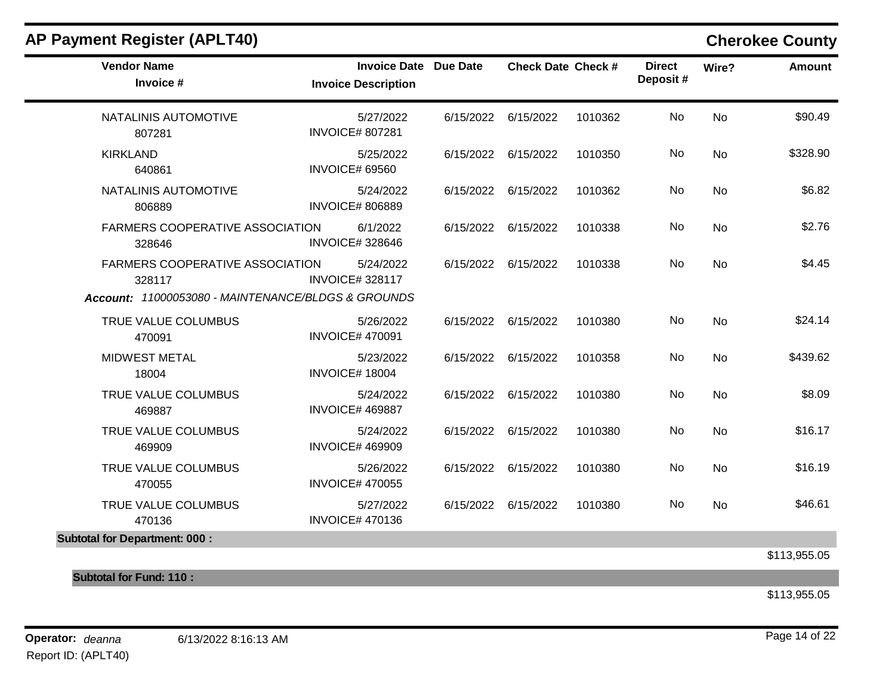| <b>AP Payment Register (APLT40)</b>                                                                    |                       |                                                            |           |                           |         |                           |           | <b>Cherokee County</b> |
|--------------------------------------------------------------------------------------------------------|-----------------------|------------------------------------------------------------|-----------|---------------------------|---------|---------------------------|-----------|------------------------|
| <b>Vendor Name</b><br>Invoice #                                                                        |                       | <b>Invoice Date Due Date</b><br><b>Invoice Description</b> |           | <b>Check Date Check #</b> |         | <b>Direct</b><br>Deposit# | Wire?     | <b>Amount</b>          |
| NATALINIS AUTOMOTIVE<br>807281                                                                         |                       | 5/27/2022<br><b>INVOICE# 807281</b>                        |           | 6/15/2022 6/15/2022       | 1010362 | No                        | <b>No</b> | \$90.49                |
| <b>KIRKLAND</b><br>640861                                                                              | <b>INVOICE# 69560</b> | 5/25/2022                                                  |           | 6/15/2022 6/15/2022       | 1010350 | No                        | <b>No</b> | \$328.90               |
| NATALINIS AUTOMOTIVE<br>806889                                                                         |                       | 5/24/2022<br><b>INVOICE# 806889</b>                        | 6/15/2022 | 6/15/2022                 | 1010362 | No                        | <b>No</b> | \$6.82                 |
| <b>FARMERS COOPERATIVE ASSOCIATION</b><br>328646                                                       |                       | 6/1/2022<br><b>INVOICE# 328646</b>                         |           | 6/15/2022 6/15/2022       | 1010338 | No                        | <b>No</b> | \$2.76                 |
| <b>FARMERS COOPERATIVE ASSOCIATION</b><br>328117<br>Account: 11000053080 - MAINTENANCE/BLDGS & GROUNDS |                       | 5/24/2022<br><b>INVOICE#328117</b>                         |           | 6/15/2022 6/15/2022       | 1010338 | No                        | <b>No</b> | \$4.45                 |
| TRUE VALUE COLUMBUS<br>470091                                                                          |                       | 5/26/2022<br><b>INVOICE# 470091</b>                        | 6/15/2022 | 6/15/2022                 | 1010380 | No                        | <b>No</b> | \$24.14                |
| <b>MIDWEST METAL</b><br>18004                                                                          | <b>INVOICE# 18004</b> | 5/23/2022                                                  | 6/15/2022 | 6/15/2022                 | 1010358 | No                        | <b>No</b> | \$439.62               |
| TRUE VALUE COLUMBUS<br>469887                                                                          |                       | 5/24/2022<br><b>INVOICE# 469887</b>                        |           | 6/15/2022 6/15/2022       | 1010380 | <b>No</b>                 | No        | \$8.09                 |
| TRUE VALUE COLUMBUS<br>469909                                                                          |                       | 5/24/2022<br><b>INVOICE# 469909</b>                        | 6/15/2022 | 6/15/2022                 | 1010380 | No                        | No        | \$16.17                |
| TRUE VALUE COLUMBUS<br>470055                                                                          |                       | 5/26/2022<br><b>INVOICE# 470055</b>                        | 6/15/2022 | 6/15/2022                 | 1010380 | No                        | <b>No</b> | \$16.19                |
| TRUE VALUE COLUMBUS<br>470136                                                                          |                       | 5/27/2022<br><b>INVOICE# 470136</b>                        |           | 6/15/2022 6/15/2022       | 1010380 | No                        | No        | \$46.61                |

\$113,955.05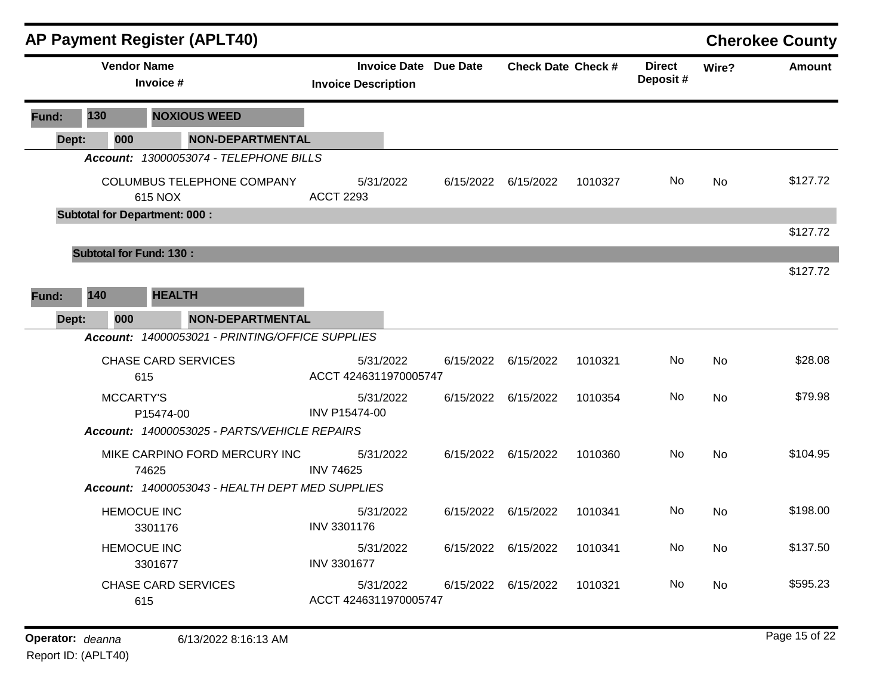|       |                                      |                                 | <b>AP Payment Register (APLT40)</b>             |                            |           |                              |                           |         |                           |                | <b>Cherokee County</b> |
|-------|--------------------------------------|---------------------------------|-------------------------------------------------|----------------------------|-----------|------------------------------|---------------------------|---------|---------------------------|----------------|------------------------|
|       |                                      | <b>Vendor Name</b><br>Invoice # |                                                 | <b>Invoice Description</b> |           | <b>Invoice Date Due Date</b> | <b>Check Date Check #</b> |         | <b>Direct</b><br>Deposit# | Wire?          | <b>Amount</b>          |
| Fund: | 130                                  |                                 | <b>NOXIOUS WEED</b>                             |                            |           |                              |                           |         |                           |                |                        |
|       | 000<br>Dept:                         |                                 | <b>NON-DEPARTMENTAL</b>                         |                            |           |                              |                           |         |                           |                |                        |
|       |                                      |                                 | Account: 13000053074 - TELEPHONE BILLS          |                            |           |                              |                           |         |                           |                |                        |
|       |                                      | 615 NOX                         | COLUMBUS TELEPHONE COMPANY                      | <b>ACCT 2293</b>           | 5/31/2022 | 6/15/2022                    | 6/15/2022                 | 1010327 | No.                       | <b>No</b>      | \$127.72               |
|       | <b>Subtotal for Department: 000:</b> |                                 |                                                 |                            |           |                              |                           |         |                           |                |                        |
|       |                                      |                                 |                                                 |                            |           |                              |                           |         |                           |                | \$127.72               |
|       | <b>Subtotal for Fund: 130:</b>       |                                 |                                                 |                            |           |                              |                           |         |                           |                |                        |
|       |                                      |                                 |                                                 |                            |           |                              |                           |         |                           |                | \$127.72               |
| Fund: | 140                                  | <b>HEALTH</b>                   |                                                 |                            |           |                              |                           |         |                           |                |                        |
|       | Dept:<br>000                         |                                 | <b>NON-DEPARTMENTAL</b>                         |                            |           |                              |                           |         |                           |                |                        |
|       |                                      |                                 | Account: 14000053021 - PRINTING/OFFICE SUPPLIES |                            |           |                              |                           |         |                           |                |                        |
|       |                                      |                                 | <b>CHASE CARD SERVICES</b>                      |                            | 5/31/2022 | 6/15/2022                    | 6/15/2022                 | 1010321 | No.                       | No             | \$28.08                |
|       |                                      | 615                             |                                                 | ACCT 4246311970005747      |           |                              |                           |         |                           |                |                        |
|       |                                      | <b>MCCARTY'S</b>                |                                                 |                            | 5/31/2022 | 6/15/2022                    | 6/15/2022                 | 1010354 | No.                       | No             | \$79.98                |
|       |                                      | P15474-00                       |                                                 | <b>INV P15474-00</b>       |           |                              |                           |         |                           |                |                        |
|       |                                      |                                 | Account: 14000053025 - PARTS/VEHICLE REPAIRS    |                            |           |                              |                           |         |                           |                |                        |
|       |                                      |                                 | MIKE CARPINO FORD MERCURY INC                   | <b>INV 74625</b>           | 5/31/2022 |                              | 6/15/2022 6/15/2022       | 1010360 | No.                       | N <sub>o</sub> | \$104.95               |
|       |                                      | 74625                           | Account: 14000053043 - HEALTH DEPT MED SUPPLIES |                            |           |                              |                           |         |                           |                |                        |
|       |                                      |                                 |                                                 |                            |           |                              |                           |         |                           |                |                        |
|       |                                      | <b>HEMOCUE INC</b><br>3301176   |                                                 | INV 3301176                | 5/31/2022 |                              | 6/15/2022 6/15/2022       | 1010341 | No                        | <b>No</b>      | \$198.00               |
|       |                                      | <b>HEMOCUE INC</b>              |                                                 |                            | 5/31/2022 |                              | 6/15/2022 6/15/2022       | 1010341 | No                        | No.            | \$137.50               |
|       |                                      | 3301677                         |                                                 | INV 3301677                |           |                              |                           |         |                           |                |                        |
|       |                                      |                                 | <b>CHASE CARD SERVICES</b>                      |                            | 5/31/2022 |                              | 6/15/2022 6/15/2022       | 1010321 | No                        | <b>No</b>      | \$595.23               |
|       |                                      | 615                             |                                                 | ACCT 4246311970005747      |           |                              |                           |         |                           |                |                        |
|       |                                      |                                 |                                                 |                            |           |                              |                           |         |                           |                |                        |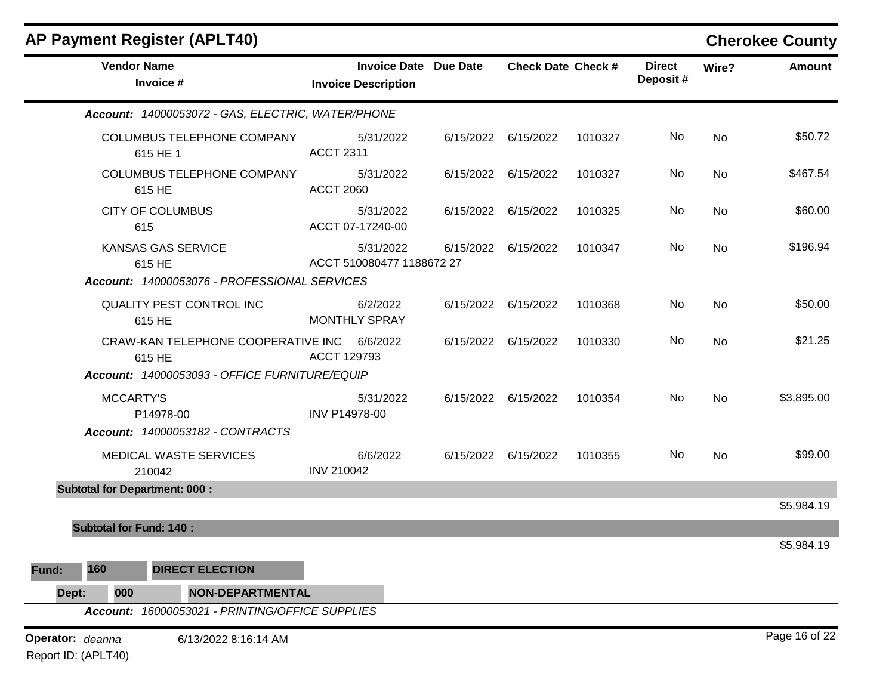| <b>AP Payment Register (APLT40)</b>                             |                                                            |           |                           |         |                           |           | <b>Cherokee County</b> |
|-----------------------------------------------------------------|------------------------------------------------------------|-----------|---------------------------|---------|---------------------------|-----------|------------------------|
| <b>Vendor Name</b><br>Invoice #                                 | <b>Invoice Date Due Date</b><br><b>Invoice Description</b> |           | <b>Check Date Check #</b> |         | <b>Direct</b><br>Deposit# | Wire?     | <b>Amount</b>          |
| Account: 14000053072 - GAS, ELECTRIC, WATER/PHONE               |                                                            |           |                           |         |                           |           |                        |
| COLUMBUS TELEPHONE COMPANY<br>615 HE 1                          | 5/31/2022<br><b>ACCT 2311</b>                              |           | 6/15/2022 6/15/2022       | 1010327 | No                        | No        | \$50.72                |
| COLUMBUS TELEPHONE COMPANY<br>615 HE                            | 5/31/2022<br><b>ACCT 2060</b>                              | 6/15/2022 | 6/15/2022                 | 1010327 | No                        | <b>No</b> | \$467.54               |
| <b>CITY OF COLUMBUS</b><br>615                                  | 5/31/2022<br>ACCT 07-17240-00                              |           | 6/15/2022 6/15/2022       | 1010325 | No                        | <b>No</b> | \$60.00                |
| <b>KANSAS GAS SERVICE</b><br>615 HE                             | 5/31/2022<br>ACCT 510080477 1188672 27                     | 6/15/2022 | 6/15/2022                 | 1010347 | No                        | No        | \$196.94               |
| Account: 14000053076 - PROFESSIONAL SERVICES                    |                                                            |           |                           |         |                           |           |                        |
| QUALITY PEST CONTROL INC<br>615 HE                              | 6/2/2022<br><b>MONTHLY SPRAY</b>                           |           | 6/15/2022 6/15/2022       | 1010368 | No                        | <b>No</b> | \$50.00                |
| CRAW-KAN TELEPHONE COOPERATIVE INC<br>615 HE                    | 6/6/2022<br>ACCT 129793                                    |           | 6/15/2022 6/15/2022       | 1010330 | No                        | <b>No</b> | \$21.25                |
| Account: 14000053093 - OFFICE FURNITURE/EQUIP                   |                                                            |           |                           |         |                           |           |                        |
| <b>MCCARTY'S</b><br>P14978-00                                   | 5/31/2022<br>INV P14978-00                                 |           | 6/15/2022 6/15/2022       | 1010354 | No                        | No        | \$3,895.00             |
| Account: 14000053182 - CONTRACTS                                |                                                            |           |                           |         |                           |           |                        |
| MEDICAL WASTE SERVICES<br>210042                                | 6/6/2022<br><b>INV 210042</b>                              |           | 6/15/2022 6/15/2022       | 1010355 | No                        | <b>No</b> | \$99.00                |
| <b>Subtotal for Department: 000:</b>                            |                                                            |           |                           |         |                           |           |                        |
|                                                                 |                                                            |           |                           |         |                           |           | \$5,984.19             |
| <b>Subtotal for Fund: 140:</b>                                  |                                                            |           |                           |         |                           |           | \$5,984.19             |
| 160<br><b>DIRECT ELECTION</b><br>Fund:                          |                                                            |           |                           |         |                           |           |                        |
| 000<br><b>NON-DEPARTMENTAL</b><br>Dept:                         |                                                            |           |                           |         |                           |           |                        |
| 16000053021 - PRINTING/OFFICE SUPPLIES<br><b>Account:</b>       |                                                            |           |                           |         |                           |           |                        |
| Operator: deanna<br>6/13/2022 8:16:14 AM<br>Report ID: (APLT40) |                                                            |           |                           |         |                           |           | Page 16 of 22          |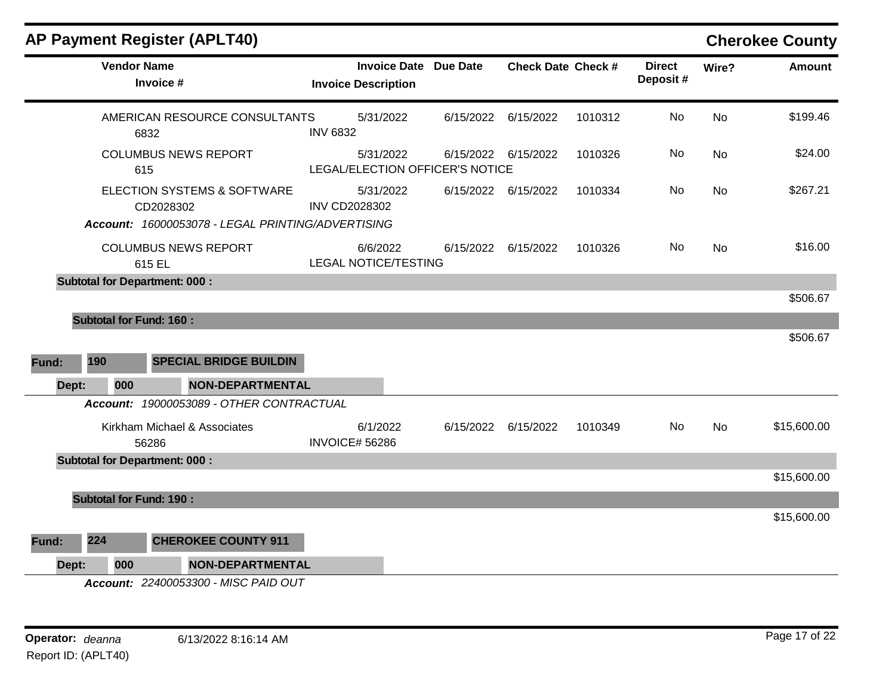|              | <b>Vendor Name</b><br>Invoice #                                                               | <b>Invoice Date Due Date</b><br><b>Invoice Description</b> | <b>Check Date Check #</b> |         | <b>Direct</b><br>Deposit# | Wire?     | <b>Amount</b> |
|--------------|-----------------------------------------------------------------------------------------------|------------------------------------------------------------|---------------------------|---------|---------------------------|-----------|---------------|
|              | AMERICAN RESOURCE CONSULTANTS<br>6832                                                         | 5/31/2022<br><b>INV 6832</b>                               | 6/15/2022 6/15/2022       | 1010312 | No                        | <b>No</b> | \$199.46      |
|              | <b>COLUMBUS NEWS REPORT</b><br>615                                                            | 5/31/2022<br>LEGAL/ELECTION OFFICER'S NOTICE               | 6/15/2022 6/15/2022       | 1010326 | No                        | No        | \$24.00       |
|              | ELECTION SYSTEMS & SOFTWARE<br>CD2028302<br>Account: 16000053078 - LEGAL PRINTING/ADVERTISING | 5/31/2022<br><b>INV CD2028302</b>                          | 6/15/2022 6/15/2022       | 1010334 | No                        | <b>No</b> | \$267.21      |
|              | <b>COLUMBUS NEWS REPORT</b><br>615 EL                                                         | 6/6/2022<br><b>LEGAL NOTICE/TESTING</b>                    | 6/15/2022 6/15/2022       | 1010326 | No                        | <b>No</b> | \$16.00       |
|              | <b>Subtotal for Department: 000:</b>                                                          |                                                            |                           |         |                           |           |               |
|              |                                                                                               |                                                            |                           |         |                           |           | \$506.67      |
|              | <b>Subtotal for Fund: 160:</b>                                                                |                                                            |                           |         |                           |           |               |
|              |                                                                                               |                                                            |                           |         |                           |           | \$506.67      |
| 190<br>Fund: | <b>SPECIAL BRIDGE BUILDIN</b>                                                                 |                                                            |                           |         |                           |           |               |
| Dept:        | 000<br><b>NON-DEPARTMENTAL</b>                                                                |                                                            |                           |         |                           |           |               |
|              | Account: 19000053089 - OTHER CONTRACTUAL                                                      |                                                            |                           |         |                           |           |               |
|              | Kirkham Michael & Associates<br>56286                                                         | 6/1/2022<br><b>INVOICE# 56286</b>                          | 6/15/2022 6/15/2022       | 1010349 | No                        | <b>No</b> | \$15,600.00   |
|              | <b>Subtotal for Department: 000:</b>                                                          |                                                            |                           |         |                           |           |               |
|              |                                                                                               |                                                            |                           |         |                           |           | \$15,600.00   |
|              | <b>Subtotal for Fund: 190:</b>                                                                |                                                            |                           |         |                           |           |               |
|              |                                                                                               |                                                            |                           |         |                           |           | \$15,600.00   |
| 224<br>Fund: | <b>CHEROKEE COUNTY 911</b>                                                                    |                                                            |                           |         |                           |           |               |
| Dept:        | <b>NON-DEPARTMENTAL</b><br>000                                                                |                                                            |                           |         |                           |           |               |
|              | $0.400050000$ $0.000000$                                                                      |                                                            |                           |         |                           |           |               |

*Account: 22400053300 - MISC PAID OUT*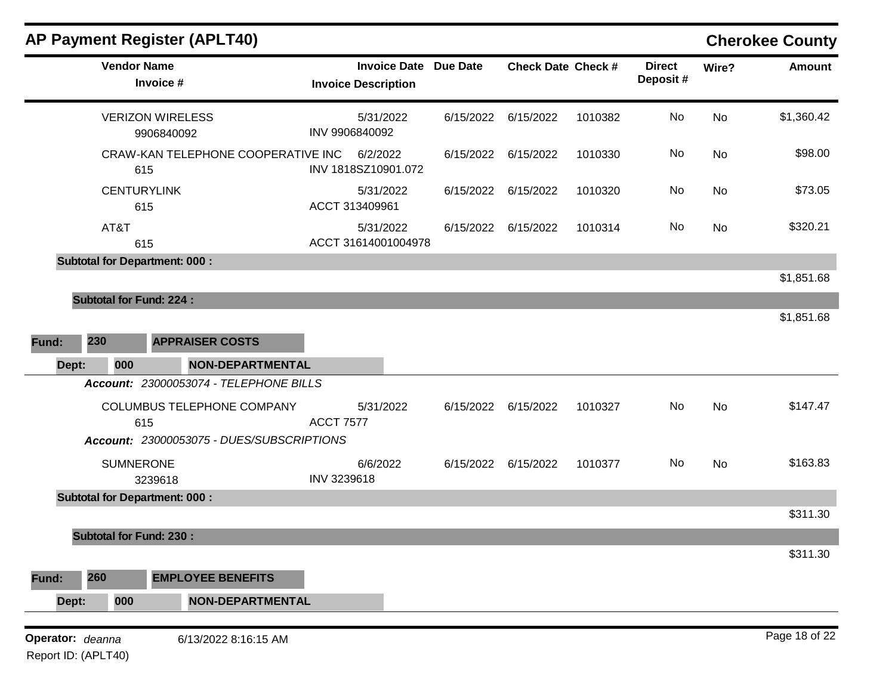| <b>AP Payment Register (APLT40)</b>                                      |                                                   |                 |                           |         |                           |           | <b>Cherokee County</b> |
|--------------------------------------------------------------------------|---------------------------------------------------|-----------------|---------------------------|---------|---------------------------|-----------|------------------------|
| <b>Vendor Name</b><br>Invoice #                                          | <b>Invoice Date</b><br><b>Invoice Description</b> | <b>Due Date</b> | <b>Check Date Check #</b> |         | <b>Direct</b><br>Deposit# | Wire?     | <b>Amount</b>          |
| <b>VERIZON WIRELESS</b><br>9906840092                                    | 5/31/2022<br>INV 9906840092                       | 6/15/2022       | 6/15/2022                 | 1010382 | No                        | No        | \$1,360.42             |
| CRAW-KAN TELEPHONE COOPERATIVE INC<br>615                                | 6/2/2022<br>INV 1818SZ10901.072                   | 6/15/2022       | 6/15/2022                 | 1010330 | No                        | No        | \$98.00                |
| <b>CENTURYLINK</b><br>615                                                | 5/31/2022<br>ACCT 313409961                       | 6/15/2022       | 6/15/2022                 | 1010320 | No                        | No        | \$73.05                |
| AT&T<br>615                                                              | 5/31/2022<br>ACCT 31614001004978                  | 6/15/2022       | 6/15/2022                 | 1010314 | No                        | No        | \$320.21               |
| <b>Subtotal for Department: 000:</b>                                     |                                                   |                 |                           |         |                           |           | \$1,851.68             |
| <b>Subtotal for Fund: 224:</b><br>230<br><b>APPRAISER COSTS</b><br>Fund: |                                                   |                 |                           |         |                           |           | \$1,851.68             |
| 000<br>Dept:<br><b>NON-DEPARTMENTAL</b>                                  |                                                   |                 |                           |         |                           |           |                        |
| Account: 23000053074 - TELEPHONE BILLS                                   |                                                   |                 |                           |         |                           |           |                        |
| COLUMBUS TELEPHONE COMPANY<br>615                                        | 5/31/2022<br><b>ACCT 7577</b>                     |                 | 6/15/2022 6/15/2022       | 1010327 | No                        | No        | \$147.47               |
| Account: 23000053075 - DUES/SUBSCRIPTIONS<br><b>SUMNERONE</b><br>3239618 | 6/6/2022<br>INV 3239618                           |                 | 6/15/2022 6/15/2022       | 1010377 | No                        | <b>No</b> | \$163.83               |
| <b>Subtotal for Department: 000:</b>                                     |                                                   |                 |                           |         |                           |           |                        |
|                                                                          |                                                   |                 |                           |         |                           |           | \$311.30               |
| <b>Subtotal for Fund: 230:</b>                                           |                                                   |                 |                           |         |                           |           | \$311.30               |
| 260<br><b>EMPLOYEE BENEFITS</b><br>Fund:                                 |                                                   |                 |                           |         |                           |           |                        |
| Dept:<br>000<br><b>NON-DEPARTMENTAL</b>                                  |                                                   |                 |                           |         |                           |           |                        |
| Operator: deanna<br>6/13/2022 8:16:15 AM                                 |                                                   |                 |                           |         |                           |           | Page 18 of 22          |

Report ID: (APLT40)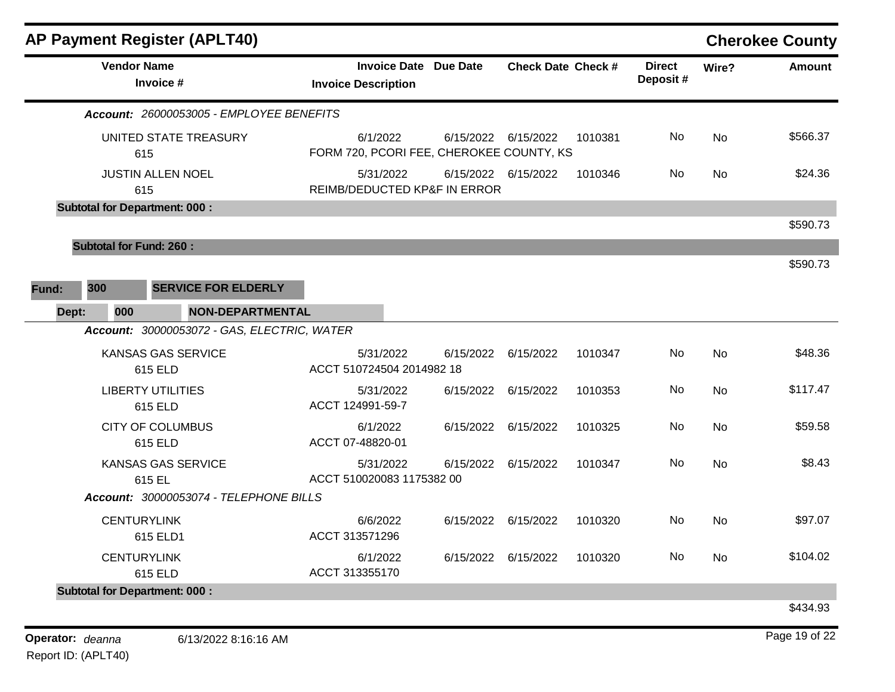|       |       |                                      | <b>AP Payment Register (APLT40)</b>         |                                           |                              |                           |         |                           |           | <b>Cherokee County</b> |
|-------|-------|--------------------------------------|---------------------------------------------|-------------------------------------------|------------------------------|---------------------------|---------|---------------------------|-----------|------------------------|
|       |       | <b>Vendor Name</b><br>Invoice #      |                                             | <b>Invoice Description</b>                | <b>Invoice Date Due Date</b> | <b>Check Date Check #</b> |         | <b>Direct</b><br>Deposit# | Wire?     | <b>Amount</b>          |
|       |       |                                      | Account: 26000053005 - EMPLOYEE BENEFITS    |                                           |                              |                           |         |                           |           |                        |
|       |       |                                      | UNITED STATE TREASURY                       | 6/1/2022                                  | 6/15/2022 6/15/2022          |                           | 1010381 | No.                       | <b>No</b> | \$566.37               |
|       |       | 615                                  |                                             | FORM 720, PCORI FEE, CHEROKEE COUNTY, KS  |                              |                           |         |                           |           |                        |
|       |       | <b>JUSTIN ALLEN NOEL</b><br>615      |                                             | 5/31/2022<br>REIMB/DEDUCTED KP&F IN ERROR | 6/15/2022 6/15/2022          |                           | 1010346 | No                        | No        | \$24.36                |
|       |       | <b>Subtotal for Department: 000:</b> |                                             |                                           |                              |                           |         |                           |           |                        |
|       |       |                                      |                                             |                                           |                              |                           |         |                           |           | \$590.73               |
|       |       | <b>Subtotal for Fund: 260:</b>       |                                             |                                           |                              |                           |         |                           |           |                        |
|       |       |                                      |                                             |                                           |                              |                           |         |                           |           | \$590.73               |
| Fund: | 300   |                                      | <b>SERVICE FOR ELDERLY</b>                  |                                           |                              |                           |         |                           |           |                        |
|       | Dept: | 000                                  | <b>NON-DEPARTMENTAL</b>                     |                                           |                              |                           |         |                           |           |                        |
|       |       |                                      | Account: 30000053072 - GAS, ELECTRIC, WATER |                                           |                              |                           |         |                           |           |                        |
|       |       | <b>KANSAS GAS SERVICE</b><br>615 ELD |                                             | 5/31/2022<br>ACCT 510724504 2014982 18    | 6/15/2022                    | 6/15/2022                 | 1010347 | No                        | <b>No</b> | \$48.36                |
|       |       | <b>LIBERTY UTILITIES</b><br>615 ELD  |                                             | 5/31/2022<br>ACCT 124991-59-7             | 6/15/2022                    | 6/15/2022                 | 1010353 | No                        | No        | \$117.47               |
|       |       | <b>CITY OF COLUMBUS</b><br>615 ELD   |                                             | 6/1/2022<br>ACCT 07-48820-01              | 6/15/2022                    | 6/15/2022                 | 1010325 | No                        | <b>No</b> | \$59.58                |
|       |       | <b>KANSAS GAS SERVICE</b><br>615 EL  |                                             | 5/31/2022<br>ACCT 510020083 1175382 00    | 6/15/2022                    | 6/15/2022                 | 1010347 | No.                       | No        | \$8.43                 |
|       |       |                                      | Account: 30000053074 - TELEPHONE BILLS      |                                           |                              |                           |         |                           |           |                        |
|       |       | <b>CENTURYLINK</b><br>615 ELD1       |                                             | 6/6/2022<br>ACCT 313571296                | 6/15/2022                    | 6/15/2022                 | 1010320 | No                        | <b>No</b> | \$97.07                |
|       |       | <b>CENTURYLINK</b><br>615 ELD        |                                             | 6/1/2022<br>ACCT 313355170                | 6/15/2022 6/15/2022          |                           | 1010320 | No.                       | No        | \$104.02               |
|       |       | <b>Subtotal for Department: 000:</b> |                                             |                                           |                              |                           |         |                           |           |                        |
|       |       |                                      |                                             |                                           |                              |                           |         |                           |           | \$434.93               |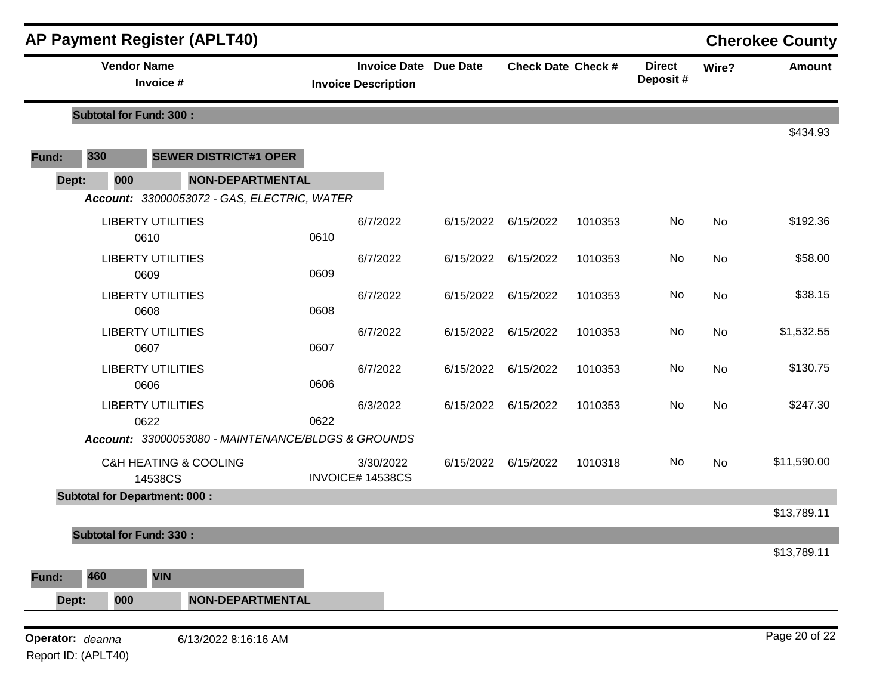|                  |     | <b>AP Payment Register (APLT40)</b>                |                               |                              |                           |         |                           |       | <b>Cherokee County</b> |
|------------------|-----|----------------------------------------------------|-------------------------------|------------------------------|---------------------------|---------|---------------------------|-------|------------------------|
|                  |     | <b>Vendor Name</b><br>Invoice #                    | <b>Invoice Description</b>    | <b>Invoice Date Due Date</b> | <b>Check Date Check #</b> |         | <b>Direct</b><br>Deposit# | Wire? | <b>Amount</b>          |
|                  |     | <b>Subtotal for Fund: 300:</b>                     |                               |                              |                           |         |                           |       |                        |
| Fund:            | 330 | <b>SEWER DISTRICT#1 OPER</b>                       |                               |                              |                           |         |                           |       | \$434.93               |
| Dept:            | 000 | <b>NON-DEPARTMENTAL</b>                            |                               |                              |                           |         |                           |       |                        |
|                  |     | Account: 33000053072 - GAS, ELECTRIC, WATER        |                               |                              |                           |         |                           |       |                        |
|                  |     | <b>LIBERTY UTILITIES</b><br>0610                   | 6/7/2022<br>0610              | 6/15/2022                    | 6/15/2022                 | 1010353 | No                        | No    | \$192.36               |
|                  |     | <b>LIBERTY UTILITIES</b><br>0609                   | 6/7/2022<br>0609              | 6/15/2022                    | 6/15/2022                 | 1010353 | No                        | No    | \$58.00                |
|                  |     | <b>LIBERTY UTILITIES</b><br>0608                   | 6/7/2022<br>0608              | 6/15/2022                    | 6/15/2022                 | 1010353 | No                        | No    | \$38.15                |
|                  |     | <b>LIBERTY UTILITIES</b><br>0607                   | 6/7/2022<br>0607              | 6/15/2022                    | 6/15/2022                 | 1010353 | No                        | No    | \$1,532.55             |
|                  |     | <b>LIBERTY UTILITIES</b><br>0606                   | 6/7/2022<br>0606              | 6/15/2022                    | 6/15/2022                 | 1010353 | No                        | No    | \$130.75               |
|                  |     | <b>LIBERTY UTILITIES</b><br>0622                   | 6/3/2022<br>0622              | 6/15/2022                    | 6/15/2022                 | 1010353 | No                        | No    | \$247.30               |
|                  |     | Account: 33000053080 - MAINTENANCE/BLDGS & GROUNDS |                               |                              |                           |         |                           |       |                        |
|                  |     | <b>C&amp;H HEATING &amp; COOLING</b><br>14538CS    | 3/30/2022<br>INVOICE# 14538CS | 6/15/2022                    | 6/15/2022                 | 1010318 | No                        | No    | \$11,590.00            |
|                  |     | <b>Subtotal for Department: 000:</b>               |                               |                              |                           |         |                           |       |                        |
|                  |     |                                                    |                               |                              |                           |         |                           |       | \$13,789.11            |
|                  |     | <b>Subtotal for Fund: 330:</b>                     |                               |                              |                           |         |                           |       |                        |
| Fund:            | 460 | <b>VIN</b>                                         |                               |                              |                           |         |                           |       | \$13,789.11            |
| Dept:            | 000 | <b>NON-DEPARTMENTAL</b>                            |                               |                              |                           |         |                           |       |                        |
| Operator: deanna |     | 6/13/2022 8:16:16 AM                               |                               |                              |                           |         |                           |       | Page 20 of 22          |

Report ID: (APLT40)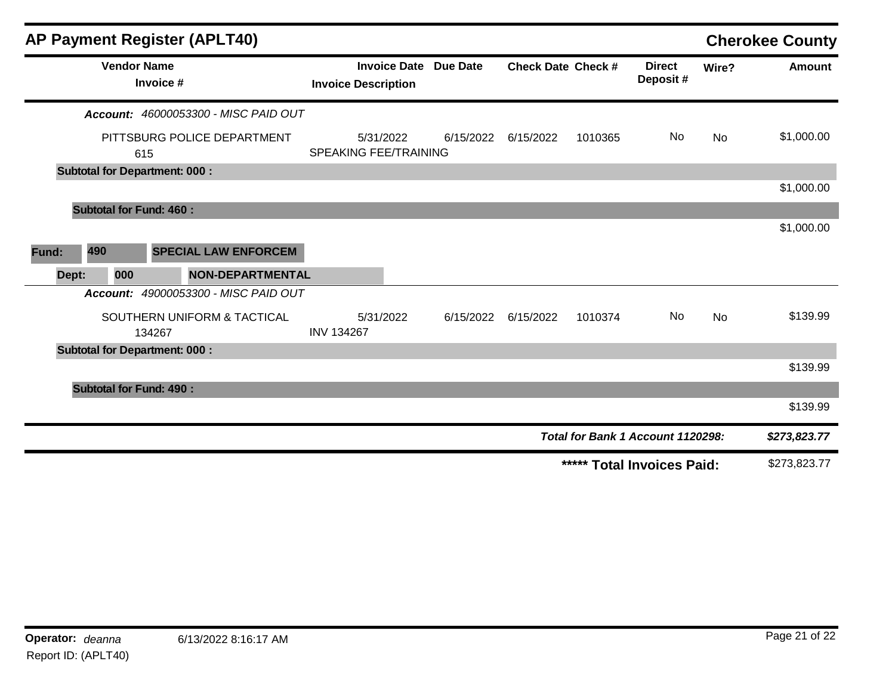| <b>AP Payment Register (APLT40)</b>         |                                           |                                        |                           |         |                                   |           | <b>Cherokee County</b> |
|---------------------------------------------|-------------------------------------------|----------------------------------------|---------------------------|---------|-----------------------------------|-----------|------------------------|
| <b>Vendor Name</b><br>Invoice #             | <b>Invoice Description</b>                | <b>Invoice Date</b><br><b>Due Date</b> | <b>Check Date Check #</b> |         | <b>Direct</b><br>Deposit#         | Wire?     | <b>Amount</b>          |
| <b>Account: 46000053300 - MISC PAID OUT</b> |                                           |                                        |                           |         |                                   |           |                        |
| PITTSBURG POLICE DEPARTMENT<br>615          | 5/31/2022<br><b>SPEAKING FEE/TRAINING</b> | 6/15/2022                              | 6/15/2022                 | 1010365 | No.                               | <b>No</b> | \$1,000.00             |
| <b>Subtotal for Department: 000:</b>        |                                           |                                        |                           |         |                                   |           |                        |
|                                             |                                           |                                        |                           |         |                                   |           | \$1,000.00             |
| <b>Subtotal for Fund: 460:</b>              |                                           |                                        |                           |         |                                   |           |                        |
| 490<br><b>SPECIAL LAW ENFORCEM</b><br>Fund: |                                           |                                        |                           |         |                                   |           | \$1,000.00             |
| <b>NON-DEPARTMENTAL</b><br>000<br>Dept:     |                                           |                                        |                           |         |                                   |           |                        |
| Account: 49000053300 - MISC PAID OUT        |                                           |                                        |                           |         |                                   |           |                        |
| SOUTHERN UNIFORM & TACTICAL<br>134267       | 5/31/2022<br><b>INV 134267</b>            | 6/15/2022                              | 6/15/2022                 | 1010374 | No.                               | <b>No</b> | \$139.99               |
| <b>Subtotal for Department: 000:</b>        |                                           |                                        |                           |         |                                   |           |                        |
|                                             |                                           |                                        |                           |         |                                   |           | \$139.99               |
| <b>Subtotal for Fund: 490:</b>              |                                           |                                        |                           |         |                                   |           |                        |
|                                             |                                           |                                        |                           |         |                                   |           | \$139.99               |
|                                             |                                           |                                        |                           |         | Total for Bank 1 Account 1120298: |           | \$273,823.77           |
|                                             |                                           |                                        |                           |         | ***** Total Invoices Paid:        |           | \$273,823.77           |